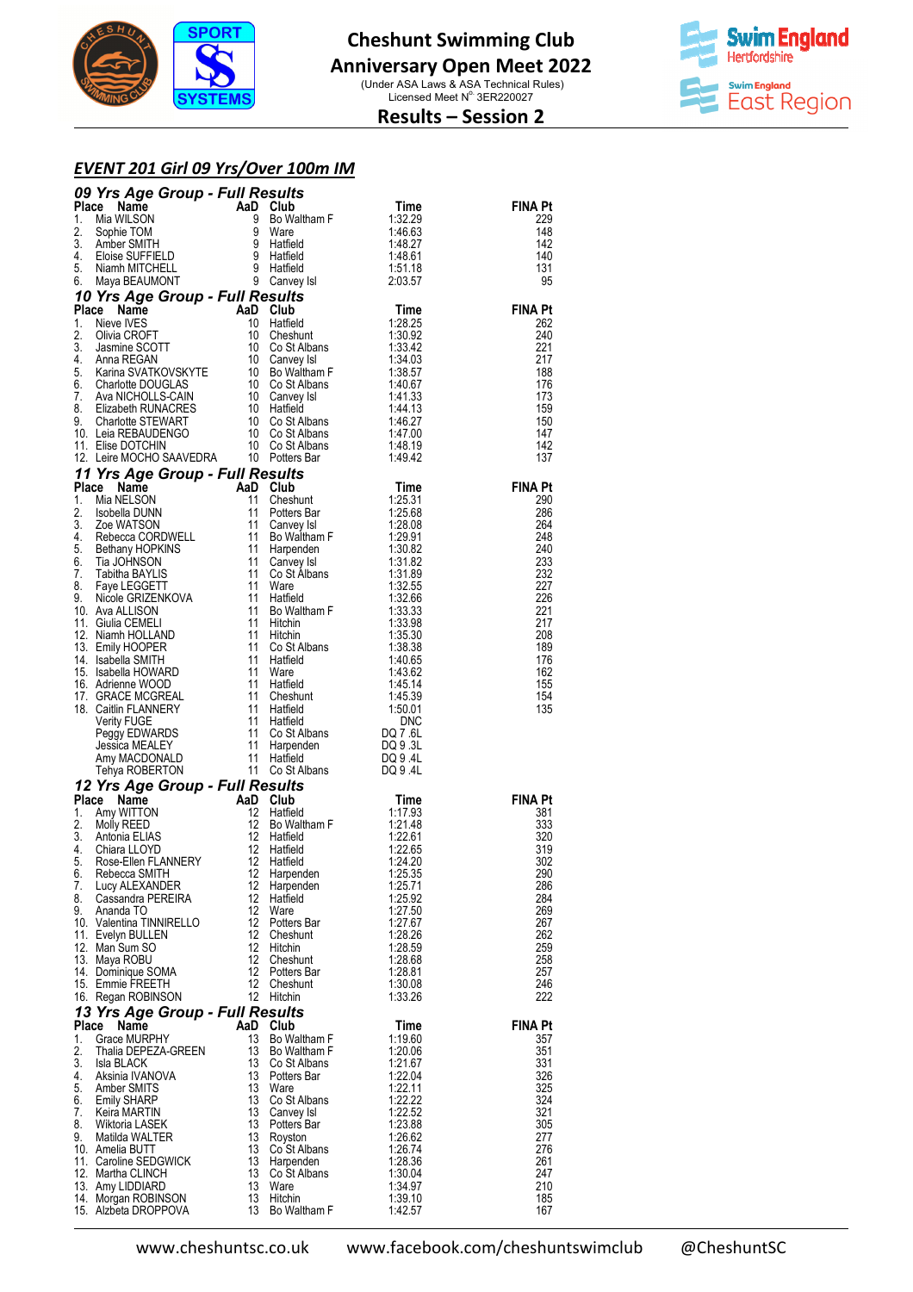



## **Results – Session 2**

#### *EVENT 201 Girl 09 Yrs/Over 100m IM*

|          | <b>00 Vrs Age Group - Full Results</b><br>1. Mia WilsON<br>1. Alia WilsON<br>1. Mia WilsON<br>1. Mia WilsON<br>2. Sophie TOM<br>4. Books UPTHELD<br>5. Wand SEAUMONT 9 Water<br>4. Sophie TOM<br>4. Sophie TOM<br>4. Some SUFFIELD<br>1. Neve VES-Rigge G |                  |                             |                    |                       |
|----------|-----------------------------------------------------------------------------------------------------------------------------------------------------------------------------------------------------------------------------------------------------------|------------------|-----------------------------|--------------------|-----------------------|
|          |                                                                                                                                                                                                                                                           |                  |                             |                    | <b>FINA Pt</b>        |
|          |                                                                                                                                                                                                                                                           |                  |                             |                    | 229<br>148            |
|          |                                                                                                                                                                                                                                                           |                  |                             |                    | 142                   |
|          |                                                                                                                                                                                                                                                           |                  |                             |                    | 140                   |
|          |                                                                                                                                                                                                                                                           |                  |                             |                    | 131<br>95             |
|          |                                                                                                                                                                                                                                                           |                  |                             |                    |                       |
|          |                                                                                                                                                                                                                                                           |                  |                             |                    | <b>FINA Pt</b>        |
|          |                                                                                                                                                                                                                                                           |                  |                             |                    | 262                   |
|          |                                                                                                                                                                                                                                                           |                  |                             |                    | 240                   |
|          |                                                                                                                                                                                                                                                           |                  |                             |                    | 221<br>217            |
|          |                                                                                                                                                                                                                                                           |                  |                             |                    | 188                   |
|          |                                                                                                                                                                                                                                                           |                  |                             |                    | 176                   |
|          |                                                                                                                                                                                                                                                           |                  |                             |                    | 173<br>159            |
|          |                                                                                                                                                                                                                                                           |                  |                             |                    | 150                   |
|          |                                                                                                                                                                                                                                                           |                  |                             |                    | 147                   |
|          |                                                                                                                                                                                                                                                           |                  |                             |                    | 142<br>137            |
|          |                                                                                                                                                                                                                                                           |                  |                             |                    |                       |
|          |                                                                                                                                                                                                                                                           |                  |                             |                    | <b>FINA Pt</b>        |
|          |                                                                                                                                                                                                                                                           |                  |                             |                    | 290                   |
|          |                                                                                                                                                                                                                                                           |                  |                             |                    | 286                   |
|          |                                                                                                                                                                                                                                                           |                  |                             |                    | 264<br>248            |
|          |                                                                                                                                                                                                                                                           |                  |                             |                    | 240                   |
|          |                                                                                                                                                                                                                                                           |                  |                             |                    | 233                   |
|          |                                                                                                                                                                                                                                                           |                  |                             |                    | 232<br>227            |
|          |                                                                                                                                                                                                                                                           |                  |                             |                    | 226                   |
|          |                                                                                                                                                                                                                                                           |                  |                             |                    | 221                   |
|          |                                                                                                                                                                                                                                                           |                  |                             |                    | 217<br>208            |
|          |                                                                                                                                                                                                                                                           |                  |                             |                    | 189                   |
|          |                                                                                                                                                                                                                                                           |                  |                             |                    | 176                   |
|          |                                                                                                                                                                                                                                                           |                  |                             |                    | 162<br>155            |
|          |                                                                                                                                                                                                                                                           |                  |                             |                    | 154                   |
|          |                                                                                                                                                                                                                                                           |                  |                             |                    | 135                   |
|          |                                                                                                                                                                                                                                                           |                  |                             |                    |                       |
|          |                                                                                                                                                                                                                                                           |                  |                             |                    |                       |
|          |                                                                                                                                                                                                                                                           |                  |                             |                    |                       |
|          |                                                                                                                                                                                                                                                           |                  |                             |                    |                       |
|          |                                                                                                                                                                                                                                                           |                  |                             |                    |                       |
|          |                                                                                                                                                                                                                                                           |                  |                             |                    | <b>FINA Pt</b><br>381 |
|          |                                                                                                                                                                                                                                                           |                  |                             |                    | 333                   |
|          |                                                                                                                                                                                                                                                           |                  |                             |                    | 320                   |
|          |                                                                                                                                                                                                                                                           |                  |                             |                    | 319<br>302            |
|          | 6. Rebecca SMITH                                                                                                                                                                                                                                          |                  | 12 Harpenden                | 1:25.35            | 290                   |
| 7.       | Lucy ALEXANDER                                                                                                                                                                                                                                            | 12               | Harpenden                   | 1:25.71            | 286                   |
| 9.       | 8. Cassandra PEREIRA<br>Ananda TO                                                                                                                                                                                                                         | 12<br>12         | Hatfield<br>Ware            | 1:25.92<br>1:27.50 | 284<br>269            |
|          | 10. Valentina TINNIRELLO                                                                                                                                                                                                                                  | 12               | Potters Bar                 | 1:27.67            | 267                   |
|          | 11. Evelyn BULLEN                                                                                                                                                                                                                                         | 12               | Cheshunt                    | 1:28.26            | 262                   |
|          | 12. Man Sum SO<br>13. Maya ROBU                                                                                                                                                                                                                           | 12<br>12         | Hitchin<br>Cheshunt         | 1:28.59<br>1:28.68 | 259<br>258            |
|          | 14. Dominique SOMA                                                                                                                                                                                                                                        |                  | 12 Potters Bar              | 1:28.81            | 257                   |
|          | 15. Emmie FREETH                                                                                                                                                                                                                                          | 12 <sup>12</sup> | Cheshunt                    | 1:30.08            | 246                   |
|          | 16. Regan ROBINSON                                                                                                                                                                                                                                        |                  | 12 Hitchin                  | 1:33.26            | 222                   |
| Place    | 13 Yrs Age Group - Full Results<br>Name                                                                                                                                                                                                                   | AaD Club         |                             | Time               | <b>FINA Pt</b>        |
| 1.       | <b>Grace MURPHY</b>                                                                                                                                                                                                                                       | 13               | Bo Waltham F                | 1:19.60            | 357                   |
| 2.       | Thalia DEPEZA-GREEN                                                                                                                                                                                                                                       | 13               | Bo Waltham F                | 1:20.06            | 351                   |
| 4.       | 3. Isla BLACK<br>Aksinia IVANOVA                                                                                                                                                                                                                          | 13<br>13         | Co St Albans<br>Potters Bar | 1:21.67<br>1:22.04 | 331<br>326            |
| 5.       | Amber SMITS                                                                                                                                                                                                                                               | 13               | Ware                        | 1:22.11            | 325                   |
| 6.       | <b>Emily SHARP</b>                                                                                                                                                                                                                                        | 13               | Co St Albans                | 1:22.22            | 324                   |
| 7.<br>8. | Keira MARTIN<br>Wiktoria LASEK                                                                                                                                                                                                                            | 13<br>13         | Canvey Isl<br>Potters Bar   | 1:22.52<br>1:23.88 | 321<br>305            |
| 9.       | Matilda WALTER                                                                                                                                                                                                                                            | 13               | Royston                     | 1:26.62            | 277                   |
|          | 10. Amelia BUTT                                                                                                                                                                                                                                           | 13               | Co St Albans                | 1:26.74            | 276                   |
|          | 11. Caroline SEDGWICK                                                                                                                                                                                                                                     | 13<br>13         | Harpenden                   | 1:28.36            | 261<br>247            |
|          | 12. Martha CLINCH<br>13. Amy LIDDIARD                                                                                                                                                                                                                     | 13               | Co St Albans<br>Ware        | 1:30.04<br>1:34.97 | 210                   |
|          | 14. Morgan ROBINSON                                                                                                                                                                                                                                       | 13               | Hitchin                     | 1:39.10            | 185                   |
|          | 15. Alzbeta DROPPOVA                                                                                                                                                                                                                                      | 13               | Bo Waltham F                | 1:42.57            | 167                   |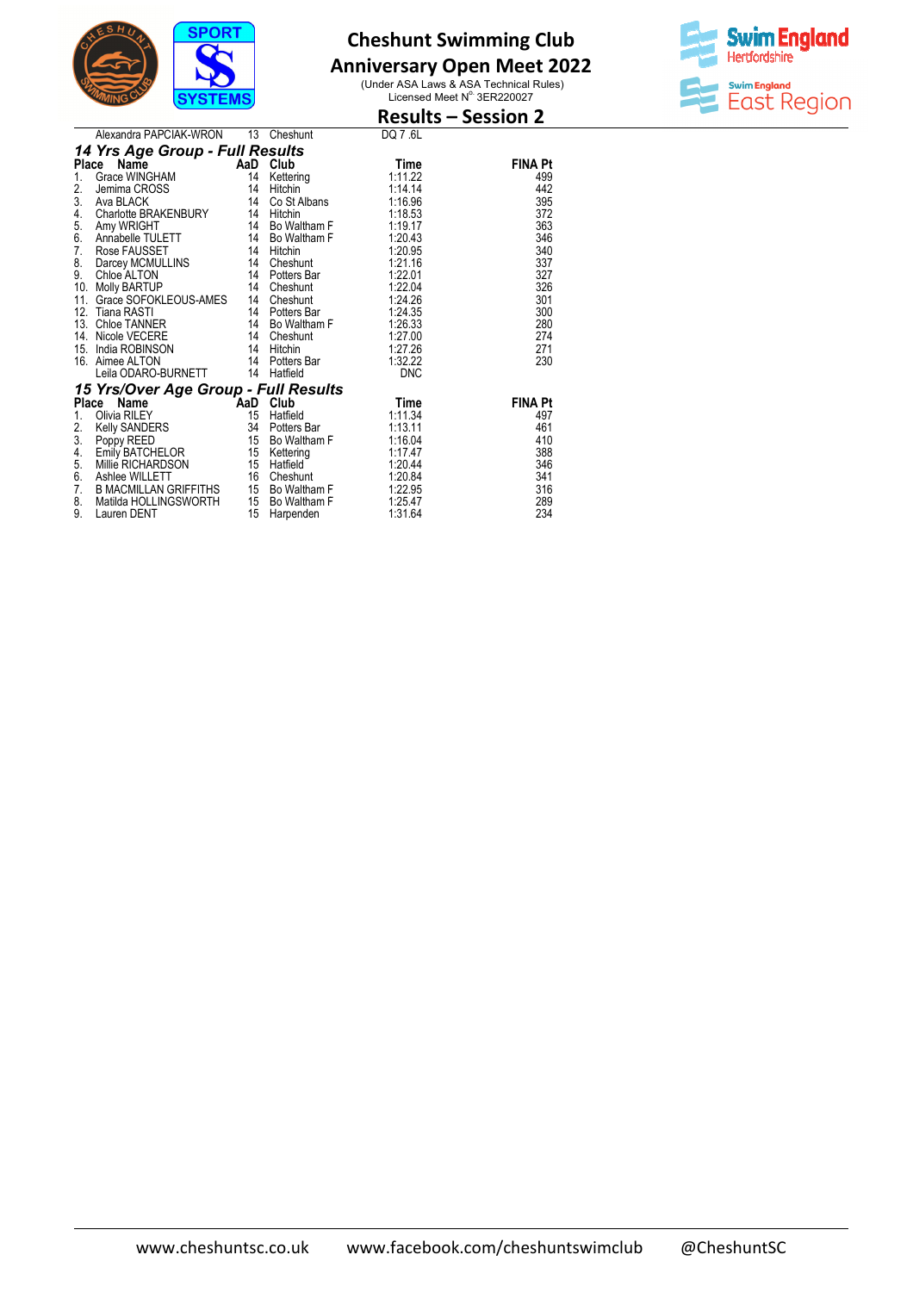

### **Anniversary Open Meet 2022**



|               |                                                                                      |     |                 |             | <b>Results – Session 2</b> |
|---------------|--------------------------------------------------------------------------------------|-----|-----------------|-------------|----------------------------|
|               | Alexandra PAPCIAK-WRON                                                               | 13  | Cheshunt        | DQ 7.6L     |                            |
|               | 14 Yrs Age Group - Full Results                                                      |     |                 |             |                            |
| <b>Place</b>  | Name                                                                                 | AaD | Club            | Time        | <b>FINA Pt</b>             |
| $1_{\cdot}$   | Grace WINGHAM                                                                        | -14 | Kettering       | 1:11.22     | 499                        |
| 2.            | Jemima CROSS                                                                         | 14  | Hitchin         | 1:14.14     | 442                        |
| 3.            | Ava BLACK                                                                            |     | 14 Co St Albans | 1:16.96     | 395                        |
| 4.            | Charlotte BRAKENBURY 14                                                              |     | Hitchin         | 1:18.53     | 372                        |
| $\frac{5}{6}$ | Amy WRIGHT                                                                           |     | 14 Bo Waltham F | 1:19.17     | 363                        |
|               | Annabelle TULETT                                                                     |     | 14 Bo Waltham F | 1:20.43     | 346                        |
| 7.            | Rose FAUSSET                                                                         |     | 14 Hitchin      | 1:20.95     | 340                        |
| 8.            | Darcey MCMULLINS 14                                                                  |     | Cheshunt        | 1:21.16     | 337                        |
| 9.            | Chloe ALTON                                                                          |     | 14 Potters Bar  | 1:22.01     | 327                        |
| 10.           | 14 Cheshunt<br><b>Molly BARTUP</b>                                                   |     |                 | 1:22.04     | 326                        |
| 11.           | Grace SOFOKLEOUS-AMES<br>Tiana RASTI 14 Potters Bar<br>Childe TANNER 14 Bo Waltham F |     |                 | 1:24.26     | 301                        |
|               | 12. Tiana RASTI                                                                      |     |                 | 1:24.35     | 300                        |
| 13.           |                                                                                      |     |                 | 1:26.33     | 280                        |
| 14.           | Nicole VECERE                                                                        |     | 14 Cheshunt     | 1:27.00     | 274                        |
| 15.           | India ROBINSON                                                                       |     | 14 Hitchin      | 1:27.26     | 271                        |
|               | 16. Aimee ALTON                                                                      |     | 14 Potters Bar  | 1:32.22     | 230                        |
|               | Leila ODARO-BURNETT                                                                  | 14  | Hatfield        | <b>DNC</b>  |                            |
|               | 15 Yrs/Over Age Group - Full Results                                                 |     |                 |             |                            |
|               | <b>Example 1</b> AaD Club<br>Place<br>Name                                           |     |                 | <b>Time</b> | <b>FINA Pt</b>             |
| 1.            | Olivia RILEY                                                                         | 15  | Hatfield        | 1:11.34     | 497                        |
| 2.            | Kelly SANDERS                                                                        |     | 34 Potters Bar  | 1:13.11     | 461                        |
| 3.            | Poppy REED<br>Emily BATCHELOR                                                        |     | 15 Bo Waltham F | 1:16.04     | 410                        |
| 4.            |                                                                                      |     | 15 Kettering    | 1:17.47     | 388                        |
| 5.            | Millie RICHARDSON                                                                    |     | 15 Hatfield     | 1:20.44     | 346                        |
| 6.            | Ashlee WILLETT                                                                       |     | 16 Cheshunt     | 1:20.84     | 341                        |
| 7.            | <b>B MACMILLAN GRIFFITHS</b>                                                         |     | 15 Bo Waltham F | 1:22.95     | 316                        |
| 8.            | Matilda HOLLINGSWORTH                                                                |     | 15 Bo Waltham F | 1:25.47     | 289                        |
| 9.            | Lauren DENT                                                                          | 15  | Harpenden       | 1:31.64     | 234                        |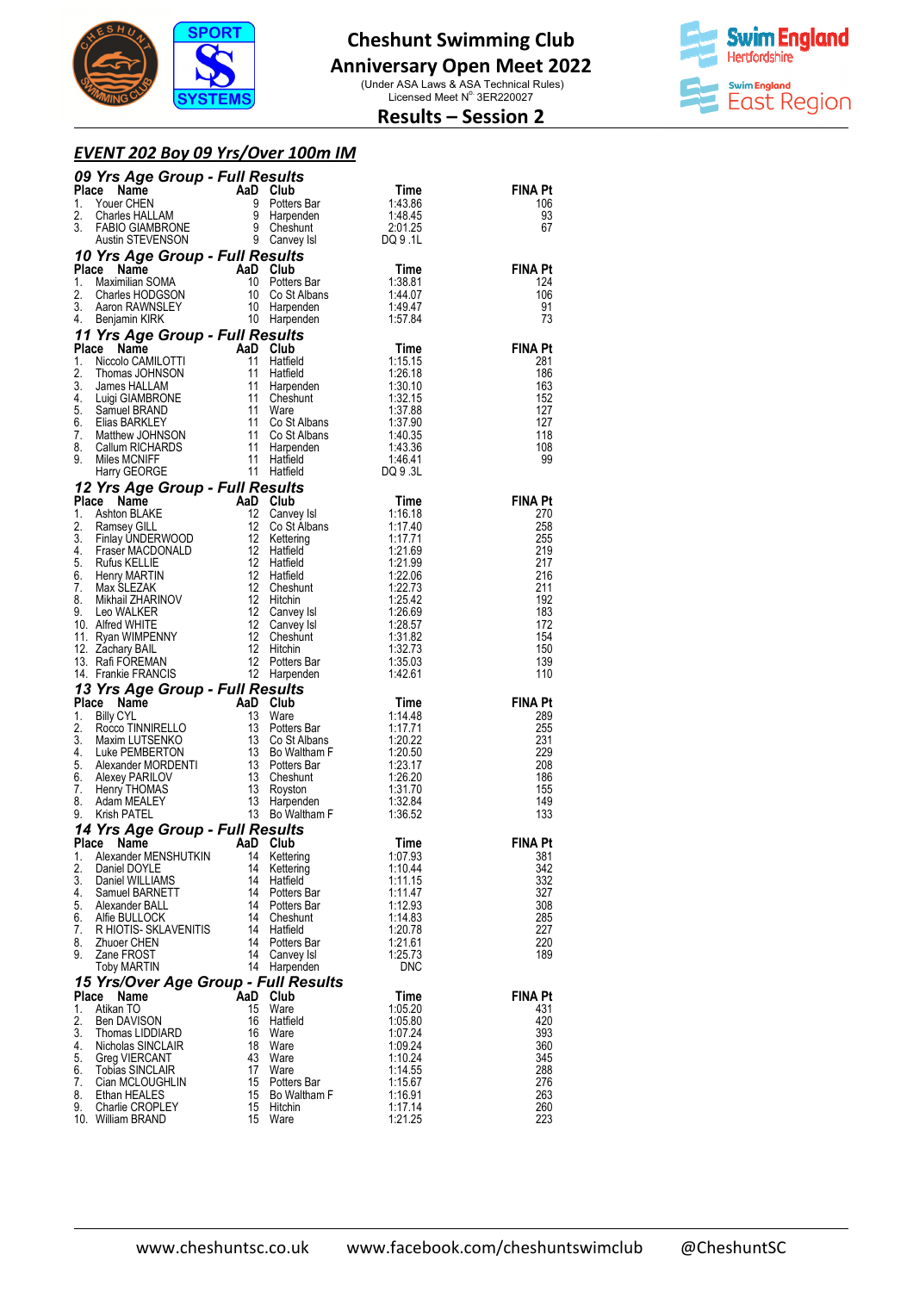

## **Anniversary Open Meet 2022**

(Under ASA Laws & ASA Technical Rules)<br>Licensed Meet N° 3ER220027



### **Results – Session 2**

#### *EVENT 202 Boy 09 Yrs/Over 100m IM s/Over*

|             | 09 Yrs Age Group - Full Results<br><b>Yrs Age Group - Full Results</b><br>Consumer CHEN<br>Youer CHEN<br>Time<br>The Band Club<br>Charles HALLAM<br>TABIO GIAMBRONE<br>TABIO GIAMBRONE<br>SCHIP - SCHIP CARVENSON<br>SCHIP - SCHIP CARVENS<br>TABIO GIAMBRONE<br>SCHIP - SCHIP CARVENS<br>TABI |                |                         |                                                                           |                       |
|-------------|------------------------------------------------------------------------------------------------------------------------------------------------------------------------------------------------------------------------------------------------------------------------------------------------|----------------|-------------------------|---------------------------------------------------------------------------|-----------------------|
| Place       |                                                                                                                                                                                                                                                                                                |                |                         |                                                                           | FINA Pt               |
| 1.<br>2.    |                                                                                                                                                                                                                                                                                                |                |                         |                                                                           | 106<br>93             |
| 3.          |                                                                                                                                                                                                                                                                                                |                |                         |                                                                           | 67                    |
|             |                                                                                                                                                                                                                                                                                                |                |                         |                                                                           |                       |
|             | 10 Yrs Age Group - Full Results<br><b>Yrs Age Group - Full Results</b><br><b>CC Name AaD Club</b> Time<br>Maximilian SOMA 10 Potters Bar<br>Charles HODGSON 10 Co St Albans 1:44.07<br>Aaron RAWNSLEY 10 Harpenden 1:49.47<br>Benjamin KIRK 10 Harpenden 1:57.84                               |                |                         |                                                                           |                       |
| Place<br>1. |                                                                                                                                                                                                                                                                                                |                |                         |                                                                           | <b>FINA Pt</b><br>124 |
| 2.          |                                                                                                                                                                                                                                                                                                |                |                         |                                                                           | 106                   |
| 3.          |                                                                                                                                                                                                                                                                                                |                |                         |                                                                           | 91                    |
| 4.          |                                                                                                                                                                                                                                                                                                |                |                         |                                                                           | 73                    |
|             | 11 Yrs Age Group - Full Results<br>11 Yrs Age Group - Full Results<br>2. Niccolo CAMILOTTI 11 Haffield<br>11 Haffield<br>11 Haffield<br>11 Haffield<br>11 Haffield<br>11 Haffield<br>11 Haffield<br>126.18<br>3. James HALLAM<br>4. Luigi GIAMBRONE<br>11 Cost Albans<br>5. Samuel BRANLE      |                |                         |                                                                           |                       |
|             |                                                                                                                                                                                                                                                                                                |                |                         |                                                                           | <b>FINA Pt</b><br>281 |
|             |                                                                                                                                                                                                                                                                                                |                |                         |                                                                           | 186                   |
|             |                                                                                                                                                                                                                                                                                                |                |                         |                                                                           | 163                   |
|             |                                                                                                                                                                                                                                                                                                |                |                         |                                                                           | 152<br>127            |
|             |                                                                                                                                                                                                                                                                                                |                |                         |                                                                           | 127                   |
|             |                                                                                                                                                                                                                                                                                                |                |                         |                                                                           | 118                   |
|             |                                                                                                                                                                                                                                                                                                |                |                         |                                                                           | 108<br>99             |
|             |                                                                                                                                                                                                                                                                                                |                |                         |                                                                           |                       |
|             | Harry GEORGE Croup - Full Results<br>12 Yrs Age Group - Full Results<br>1. Ashton BLAKE<br>1. Convey Isl<br>1. 1:16.18<br>2. Ramsey GILL<br>1. 2 Co St Albans<br>1.17.40<br>3. Finlay UNDERWOOD<br>12 Hatfield<br>5. Rufus KELLIE<br>5. Rufus KELLIE                                           |                |                         |                                                                           |                       |
|             |                                                                                                                                                                                                                                                                                                |                |                         |                                                                           | <b>FINA Pt</b>        |
|             |                                                                                                                                                                                                                                                                                                |                |                         |                                                                           | 270<br>258            |
|             |                                                                                                                                                                                                                                                                                                |                |                         |                                                                           | 255                   |
|             |                                                                                                                                                                                                                                                                                                |                |                         |                                                                           | 219                   |
|             |                                                                                                                                                                                                                                                                                                |                |                         |                                                                           | 217<br>216            |
|             |                                                                                                                                                                                                                                                                                                |                |                         |                                                                           | 211                   |
|             |                                                                                                                                                                                                                                                                                                |                |                         |                                                                           | 192                   |
|             |                                                                                                                                                                                                                                                                                                |                |                         |                                                                           | 183<br>172            |
|             |                                                                                                                                                                                                                                                                                                |                |                         |                                                                           | 154                   |
|             |                                                                                                                                                                                                                                                                                                |                |                         |                                                                           | 150<br>139            |
|             |                                                                                                                                                                                                                                                                                                |                |                         |                                                                           | 110                   |
|             |                                                                                                                                                                                                                                                                                                |                |                         |                                                                           |                       |
|             | 14. Framme Fivencois<br><b>13 Yrs Age Group - Full Results</b><br>1. Billy CYL<br>1. Billy CYL<br>1. Billy CYL<br>1. Billy CYL<br>1. Shilly CYL<br>1. Shilly CYL<br>1. Shilly CRU<br>1. Show Waltham F<br>5. Alexander MORDENTI<br>1. Show Waltham F<br>6.                                     |                |                         | $Time$<br>1.14.48                                                         | <b>FINA Pt</b>        |
|             |                                                                                                                                                                                                                                                                                                |                |                         | 1:17.71                                                                   | 289<br>255            |
|             |                                                                                                                                                                                                                                                                                                |                |                         |                                                                           | 231                   |
|             |                                                                                                                                                                                                                                                                                                |                |                         | 1:17.71<br>1:20.22<br>1:20.50<br>1:23.17<br>1:26.20<br>1:31.70<br>1:32.84 | 229                   |
|             |                                                                                                                                                                                                                                                                                                |                |                         |                                                                           | 208<br>186            |
|             |                                                                                                                                                                                                                                                                                                |                |                         |                                                                           | 155                   |
|             |                                                                                                                                                                                                                                                                                                |                |                         | 1:32.84                                                                   | 149                   |
|             |                                                                                                                                                                                                                                                                                                |                |                         | 1:36.52                                                                   | 133                   |
| Place       | 14 Yrs Age Group - Full Results<br>Name                                                                                                                                                                                                                                                        | AaD Club       |                         | Time                                                                      | <b>FINA Pt</b>        |
| 1.          | Alexander MENSHUTKIN                                                                                                                                                                                                                                                                           |                | 14 Kettering            | 1:07.93                                                                   | 381                   |
| 2.          | Daniel DOYLE                                                                                                                                                                                                                                                                                   | 14             | Kettering               | 1:10.44                                                                   | 342                   |
| 3.<br>4.    | Daniel WILLIAMS<br>Samuel BARNETT                                                                                                                                                                                                                                                              | 14<br>14       | Hatfield<br>Potters Bar | 1:11.15<br>1:11.47                                                        | 332<br>327            |
| 5.          | Alexander BALL                                                                                                                                                                                                                                                                                 | 14             | Potters Bar             | 1:12.93                                                                   | 308                   |
| 6.          | Alfie BULLOCK                                                                                                                                                                                                                                                                                  |                | 14 Cheshunt             | 1:14.83                                                                   | 285                   |
| 7.<br>8.    | R HIOTIS- SKLAVENITIS<br>Zhuoer CHEN                                                                                                                                                                                                                                                           | 14<br>14       | Hatfield<br>Potters Bar | 1:20.78<br>1:21.61                                                        | 227<br>220            |
| 9.          | Zane FROST                                                                                                                                                                                                                                                                                     | 14             | Canvey Isl              | 1:25.73                                                                   | 189                   |
|             | Toby MARTIN                                                                                                                                                                                                                                                                                    |                | 14 Harpenden            | <b>DNC</b>                                                                |                       |
|             | 15 Yrs/Over Age Group - Full Results                                                                                                                                                                                                                                                           |                |                         |                                                                           |                       |
| Place<br>1. | Name<br>Atikan TO                                                                                                                                                                                                                                                                              | AaD Club<br>15 | Ware                    | Time<br>1:05.20                                                           | <b>FINA Pt</b><br>431 |
| 2.          | <b>Ben DAVISON</b>                                                                                                                                                                                                                                                                             | 16             | Hatfield                | 1:05.80                                                                   | 420                   |
| 3.          | Thomas LIDDIARD                                                                                                                                                                                                                                                                                | 16             | Ware                    | 1:07.24                                                                   | 393                   |
| 4.<br>5.    | Nicholas SINCLAIR<br>Greg VIERCANT                                                                                                                                                                                                                                                             | 18<br>43       | Ware<br>Ware            | 1:09.24<br>1:10.24                                                        | 360<br>345            |
| 6.          | <b>Tobias SINCLAIR</b>                                                                                                                                                                                                                                                                         | 17             | Ware                    | 1:14.55                                                                   | 288                   |
| 7.          | Cian MCLOUGHLIN                                                                                                                                                                                                                                                                                | 15             | Potters Bar             | 1:15.67                                                                   | 276                   |
| 8.<br>9.    | Ethan HEALES<br>Charlie CROPLEY                                                                                                                                                                                                                                                                | 15<br>15       | Bo Waltham F<br>Hitchin | 1:16.91<br>1:17.14                                                        | 263<br>260            |
|             | 10. William BRAND                                                                                                                                                                                                                                                                              | 15             | Ware                    | 1:21.25                                                                   | 223                   |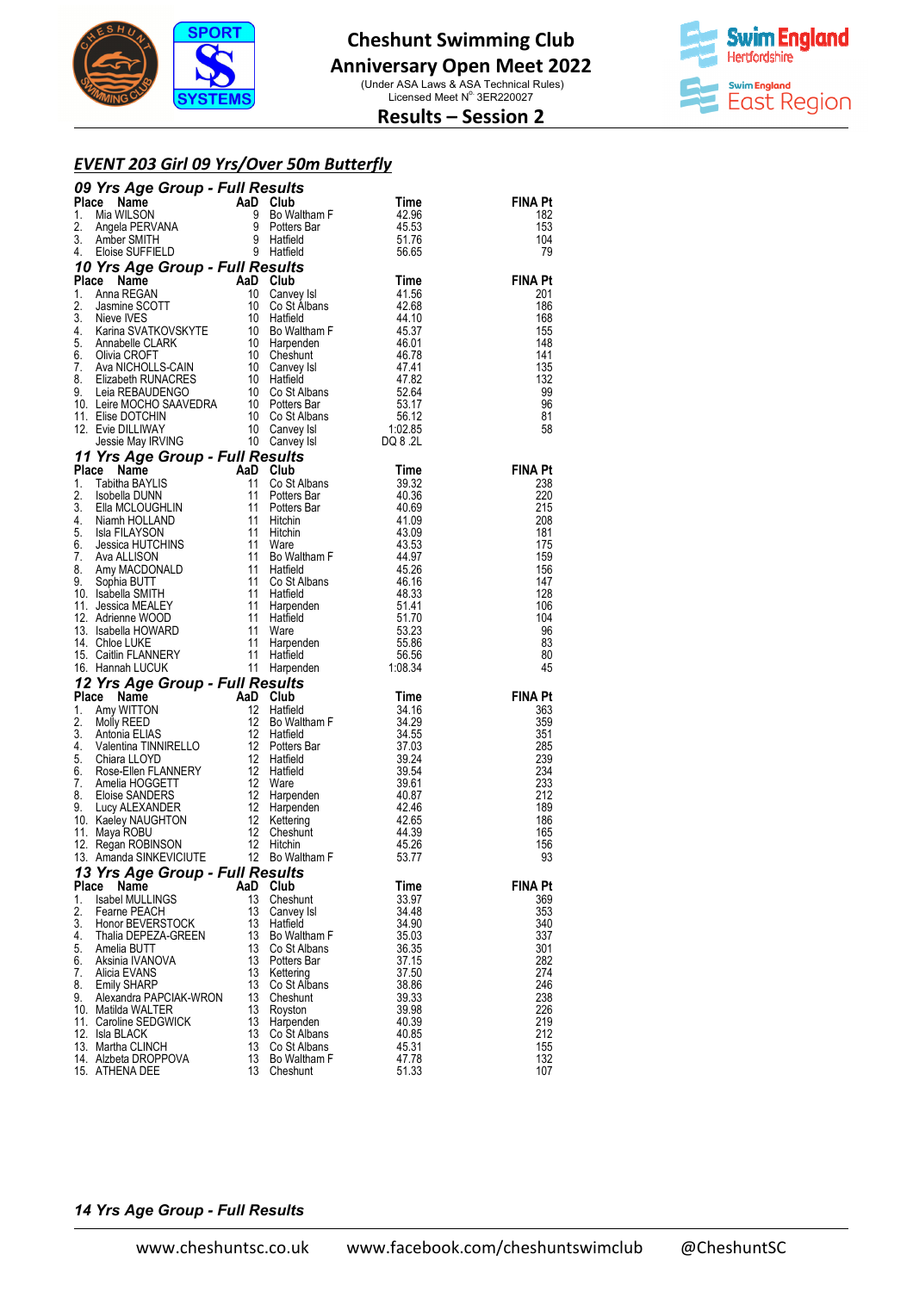



### **Results – Session 2**

#### *EVENT 203 Girl 09 Yrs/Over 50m Butterfly*

| <b>09 Yrs Age Group - Full Results<br/> These Name<br/> 1. Mia WILSON and Club Time<br/> 1. Mia WILSON 9 Potters Bar<br/> 1. Mia WILSON 9 Potters Bar<br/> 3. Amber SMITH<br/> 4. Eloise SUFFIELD 9 Hatfield<br/> 1. Ama REGAN<br/> 4. Eloise SUFFIELD 9 Hatfiel</b><br><b>FINA Pt</b><br>182<br>153<br>104<br>79<br><b>FINA Pt</b><br>201<br>186<br>168<br>155<br>148<br>141<br>135<br>132<br>99<br>96<br>81<br>58<br><b>FINA Pt</b><br>238<br>220<br>215<br>208<br>181<br>175<br>159<br>156<br>147<br>128<br>106<br>104<br>96<br>83<br>80<br>45<br>16. Hannah LUCUK 11 Harpenden 1:08.34<br><b>12 Yrs Age Group - Full Results</b><br>1. Amy WITTON 12 Hatfield 34.16<br>3. Mohia ELIAS 12 Buffield 34.5<br>3. Antonia ELIAS 12 Buffield 34.55<br>4. Valentina TINNIRELLO 12 Potters Bar<br>4. Cha<br><b>FINA Pt</b><br>363<br>359<br>351<br>285<br>239<br>234<br>233<br>212<br>189<br>186<br>165<br>156<br>93<br>13 Yrs Age Group - Full Results<br>Place<br>Club<br>FINA Pt<br>Name<br>AaD<br>Time<br>13<br>1.<br><b>Isabel MULLINGS</b><br>Cheshunt<br>33.97<br>369<br>2.<br>13<br>353<br>Fearne PEACH<br>34.48<br>Canvey Isl<br>3.<br>13<br>34.90<br>Honor BEVERSTOCK<br>Hatfield<br>340<br>4.<br>Thalia DEPEZA-GREEN<br>13<br>337<br>Bo Waltham F<br>35.03<br>5.<br>13<br>301<br>Amelia BUTT<br>36.35<br>Co St Albans<br>6.<br>13<br>37.15<br>282<br>Aksinia IVANOVA<br>Potters Bar<br>13<br>7.<br>37.50<br>274<br>Alicia EVANS<br>Kettering<br>13<br>8.<br>246<br><b>Emily SHARP</b><br>38.86<br>Co St Albans<br>9.<br>Alexandra PAPCIAK-WRON<br>13<br>39.33<br>238<br>Cheshunt<br>13<br>226<br>10. Matilda WALTER<br>39.98<br>Royston<br>13<br>219<br>11. Caroline SEDGWICK<br>40.39<br>Harpenden<br>12. Isla BLACK<br>13<br>212<br>Co St Albans<br>40.85<br>13<br>155<br>13. Martha CLINCH<br>Co St Albans<br>45.31<br>13<br>47.78<br>132<br>14. Alzbeta DROPPOVA<br>Bo Waltham F<br>15. ATHENA DEE<br>13<br>51.33<br>107<br>Cheshunt |  |  |  |
|-------------------------------------------------------------------------------------------------------------------------------------------------------------------------------------------------------------------------------------------------------------------------------------------------------------------------------------------------------------------------------------------------------------------------------------------------------------------------------------------------------------------------------------------------------------------------------------------------------------------------------------------------------------------------------------------------------------------------------------------------------------------------------------------------------------------------------------------------------------------------------------------------------------------------------------------------------------------------------------------------------------------------------------------------------------------------------------------------------------------------------------------------------------------------------------------------------------------------------------------------------------------------------------------------------------------------------------------------------------------------------------------------------------------------------------------------------------------------------------------------------------------------------------------------------------------------------------------------------------------------------------------------------------------------------------------------------------------------------------------------------------------------------------------------------------------------------------------------------------------------------------------------------------------------------------------------|--|--|--|
|                                                                                                                                                                                                                                                                                                                                                                                                                                                                                                                                                                                                                                                                                                                                                                                                                                                                                                                                                                                                                                                                                                                                                                                                                                                                                                                                                                                                                                                                                                                                                                                                                                                                                                                                                                                                                                                                                                                                                 |  |  |  |
|                                                                                                                                                                                                                                                                                                                                                                                                                                                                                                                                                                                                                                                                                                                                                                                                                                                                                                                                                                                                                                                                                                                                                                                                                                                                                                                                                                                                                                                                                                                                                                                                                                                                                                                                                                                                                                                                                                                                                 |  |  |  |
|                                                                                                                                                                                                                                                                                                                                                                                                                                                                                                                                                                                                                                                                                                                                                                                                                                                                                                                                                                                                                                                                                                                                                                                                                                                                                                                                                                                                                                                                                                                                                                                                                                                                                                                                                                                                                                                                                                                                                 |  |  |  |
|                                                                                                                                                                                                                                                                                                                                                                                                                                                                                                                                                                                                                                                                                                                                                                                                                                                                                                                                                                                                                                                                                                                                                                                                                                                                                                                                                                                                                                                                                                                                                                                                                                                                                                                                                                                                                                                                                                                                                 |  |  |  |
|                                                                                                                                                                                                                                                                                                                                                                                                                                                                                                                                                                                                                                                                                                                                                                                                                                                                                                                                                                                                                                                                                                                                                                                                                                                                                                                                                                                                                                                                                                                                                                                                                                                                                                                                                                                                                                                                                                                                                 |  |  |  |
|                                                                                                                                                                                                                                                                                                                                                                                                                                                                                                                                                                                                                                                                                                                                                                                                                                                                                                                                                                                                                                                                                                                                                                                                                                                                                                                                                                                                                                                                                                                                                                                                                                                                                                                                                                                                                                                                                                                                                 |  |  |  |
|                                                                                                                                                                                                                                                                                                                                                                                                                                                                                                                                                                                                                                                                                                                                                                                                                                                                                                                                                                                                                                                                                                                                                                                                                                                                                                                                                                                                                                                                                                                                                                                                                                                                                                                                                                                                                                                                                                                                                 |  |  |  |
|                                                                                                                                                                                                                                                                                                                                                                                                                                                                                                                                                                                                                                                                                                                                                                                                                                                                                                                                                                                                                                                                                                                                                                                                                                                                                                                                                                                                                                                                                                                                                                                                                                                                                                                                                                                                                                                                                                                                                 |  |  |  |
|                                                                                                                                                                                                                                                                                                                                                                                                                                                                                                                                                                                                                                                                                                                                                                                                                                                                                                                                                                                                                                                                                                                                                                                                                                                                                                                                                                                                                                                                                                                                                                                                                                                                                                                                                                                                                                                                                                                                                 |  |  |  |
|                                                                                                                                                                                                                                                                                                                                                                                                                                                                                                                                                                                                                                                                                                                                                                                                                                                                                                                                                                                                                                                                                                                                                                                                                                                                                                                                                                                                                                                                                                                                                                                                                                                                                                                                                                                                                                                                                                                                                 |  |  |  |
|                                                                                                                                                                                                                                                                                                                                                                                                                                                                                                                                                                                                                                                                                                                                                                                                                                                                                                                                                                                                                                                                                                                                                                                                                                                                                                                                                                                                                                                                                                                                                                                                                                                                                                                                                                                                                                                                                                                                                 |  |  |  |
|                                                                                                                                                                                                                                                                                                                                                                                                                                                                                                                                                                                                                                                                                                                                                                                                                                                                                                                                                                                                                                                                                                                                                                                                                                                                                                                                                                                                                                                                                                                                                                                                                                                                                                                                                                                                                                                                                                                                                 |  |  |  |
|                                                                                                                                                                                                                                                                                                                                                                                                                                                                                                                                                                                                                                                                                                                                                                                                                                                                                                                                                                                                                                                                                                                                                                                                                                                                                                                                                                                                                                                                                                                                                                                                                                                                                                                                                                                                                                                                                                                                                 |  |  |  |
|                                                                                                                                                                                                                                                                                                                                                                                                                                                                                                                                                                                                                                                                                                                                                                                                                                                                                                                                                                                                                                                                                                                                                                                                                                                                                                                                                                                                                                                                                                                                                                                                                                                                                                                                                                                                                                                                                                                                                 |  |  |  |
|                                                                                                                                                                                                                                                                                                                                                                                                                                                                                                                                                                                                                                                                                                                                                                                                                                                                                                                                                                                                                                                                                                                                                                                                                                                                                                                                                                                                                                                                                                                                                                                                                                                                                                                                                                                                                                                                                                                                                 |  |  |  |
|                                                                                                                                                                                                                                                                                                                                                                                                                                                                                                                                                                                                                                                                                                                                                                                                                                                                                                                                                                                                                                                                                                                                                                                                                                                                                                                                                                                                                                                                                                                                                                                                                                                                                                                                                                                                                                                                                                                                                 |  |  |  |
|                                                                                                                                                                                                                                                                                                                                                                                                                                                                                                                                                                                                                                                                                                                                                                                                                                                                                                                                                                                                                                                                                                                                                                                                                                                                                                                                                                                                                                                                                                                                                                                                                                                                                                                                                                                                                                                                                                                                                 |  |  |  |
|                                                                                                                                                                                                                                                                                                                                                                                                                                                                                                                                                                                                                                                                                                                                                                                                                                                                                                                                                                                                                                                                                                                                                                                                                                                                                                                                                                                                                                                                                                                                                                                                                                                                                                                                                                                                                                                                                                                                                 |  |  |  |
|                                                                                                                                                                                                                                                                                                                                                                                                                                                                                                                                                                                                                                                                                                                                                                                                                                                                                                                                                                                                                                                                                                                                                                                                                                                                                                                                                                                                                                                                                                                                                                                                                                                                                                                                                                                                                                                                                                                                                 |  |  |  |
|                                                                                                                                                                                                                                                                                                                                                                                                                                                                                                                                                                                                                                                                                                                                                                                                                                                                                                                                                                                                                                                                                                                                                                                                                                                                                                                                                                                                                                                                                                                                                                                                                                                                                                                                                                                                                                                                                                                                                 |  |  |  |
|                                                                                                                                                                                                                                                                                                                                                                                                                                                                                                                                                                                                                                                                                                                                                                                                                                                                                                                                                                                                                                                                                                                                                                                                                                                                                                                                                                                                                                                                                                                                                                                                                                                                                                                                                                                                                                                                                                                                                 |  |  |  |
|                                                                                                                                                                                                                                                                                                                                                                                                                                                                                                                                                                                                                                                                                                                                                                                                                                                                                                                                                                                                                                                                                                                                                                                                                                                                                                                                                                                                                                                                                                                                                                                                                                                                                                                                                                                                                                                                                                                                                 |  |  |  |
|                                                                                                                                                                                                                                                                                                                                                                                                                                                                                                                                                                                                                                                                                                                                                                                                                                                                                                                                                                                                                                                                                                                                                                                                                                                                                                                                                                                                                                                                                                                                                                                                                                                                                                                                                                                                                                                                                                                                                 |  |  |  |
|                                                                                                                                                                                                                                                                                                                                                                                                                                                                                                                                                                                                                                                                                                                                                                                                                                                                                                                                                                                                                                                                                                                                                                                                                                                                                                                                                                                                                                                                                                                                                                                                                                                                                                                                                                                                                                                                                                                                                 |  |  |  |
|                                                                                                                                                                                                                                                                                                                                                                                                                                                                                                                                                                                                                                                                                                                                                                                                                                                                                                                                                                                                                                                                                                                                                                                                                                                                                                                                                                                                                                                                                                                                                                                                                                                                                                                                                                                                                                                                                                                                                 |  |  |  |
|                                                                                                                                                                                                                                                                                                                                                                                                                                                                                                                                                                                                                                                                                                                                                                                                                                                                                                                                                                                                                                                                                                                                                                                                                                                                                                                                                                                                                                                                                                                                                                                                                                                                                                                                                                                                                                                                                                                                                 |  |  |  |
|                                                                                                                                                                                                                                                                                                                                                                                                                                                                                                                                                                                                                                                                                                                                                                                                                                                                                                                                                                                                                                                                                                                                                                                                                                                                                                                                                                                                                                                                                                                                                                                                                                                                                                                                                                                                                                                                                                                                                 |  |  |  |
|                                                                                                                                                                                                                                                                                                                                                                                                                                                                                                                                                                                                                                                                                                                                                                                                                                                                                                                                                                                                                                                                                                                                                                                                                                                                                                                                                                                                                                                                                                                                                                                                                                                                                                                                                                                                                                                                                                                                                 |  |  |  |
|                                                                                                                                                                                                                                                                                                                                                                                                                                                                                                                                                                                                                                                                                                                                                                                                                                                                                                                                                                                                                                                                                                                                                                                                                                                                                                                                                                                                                                                                                                                                                                                                                                                                                                                                                                                                                                                                                                                                                 |  |  |  |
|                                                                                                                                                                                                                                                                                                                                                                                                                                                                                                                                                                                                                                                                                                                                                                                                                                                                                                                                                                                                                                                                                                                                                                                                                                                                                                                                                                                                                                                                                                                                                                                                                                                                                                                                                                                                                                                                                                                                                 |  |  |  |
|                                                                                                                                                                                                                                                                                                                                                                                                                                                                                                                                                                                                                                                                                                                                                                                                                                                                                                                                                                                                                                                                                                                                                                                                                                                                                                                                                                                                                                                                                                                                                                                                                                                                                                                                                                                                                                                                                                                                                 |  |  |  |
|                                                                                                                                                                                                                                                                                                                                                                                                                                                                                                                                                                                                                                                                                                                                                                                                                                                                                                                                                                                                                                                                                                                                                                                                                                                                                                                                                                                                                                                                                                                                                                                                                                                                                                                                                                                                                                                                                                                                                 |  |  |  |
|                                                                                                                                                                                                                                                                                                                                                                                                                                                                                                                                                                                                                                                                                                                                                                                                                                                                                                                                                                                                                                                                                                                                                                                                                                                                                                                                                                                                                                                                                                                                                                                                                                                                                                                                                                                                                                                                                                                                                 |  |  |  |
|                                                                                                                                                                                                                                                                                                                                                                                                                                                                                                                                                                                                                                                                                                                                                                                                                                                                                                                                                                                                                                                                                                                                                                                                                                                                                                                                                                                                                                                                                                                                                                                                                                                                                                                                                                                                                                                                                                                                                 |  |  |  |
|                                                                                                                                                                                                                                                                                                                                                                                                                                                                                                                                                                                                                                                                                                                                                                                                                                                                                                                                                                                                                                                                                                                                                                                                                                                                                                                                                                                                                                                                                                                                                                                                                                                                                                                                                                                                                                                                                                                                                 |  |  |  |
|                                                                                                                                                                                                                                                                                                                                                                                                                                                                                                                                                                                                                                                                                                                                                                                                                                                                                                                                                                                                                                                                                                                                                                                                                                                                                                                                                                                                                                                                                                                                                                                                                                                                                                                                                                                                                                                                                                                                                 |  |  |  |
|                                                                                                                                                                                                                                                                                                                                                                                                                                                                                                                                                                                                                                                                                                                                                                                                                                                                                                                                                                                                                                                                                                                                                                                                                                                                                                                                                                                                                                                                                                                                                                                                                                                                                                                                                                                                                                                                                                                                                 |  |  |  |
|                                                                                                                                                                                                                                                                                                                                                                                                                                                                                                                                                                                                                                                                                                                                                                                                                                                                                                                                                                                                                                                                                                                                                                                                                                                                                                                                                                                                                                                                                                                                                                                                                                                                                                                                                                                                                                                                                                                                                 |  |  |  |
|                                                                                                                                                                                                                                                                                                                                                                                                                                                                                                                                                                                                                                                                                                                                                                                                                                                                                                                                                                                                                                                                                                                                                                                                                                                                                                                                                                                                                                                                                                                                                                                                                                                                                                                                                                                                                                                                                                                                                 |  |  |  |
|                                                                                                                                                                                                                                                                                                                                                                                                                                                                                                                                                                                                                                                                                                                                                                                                                                                                                                                                                                                                                                                                                                                                                                                                                                                                                                                                                                                                                                                                                                                                                                                                                                                                                                                                                                                                                                                                                                                                                 |  |  |  |
|                                                                                                                                                                                                                                                                                                                                                                                                                                                                                                                                                                                                                                                                                                                                                                                                                                                                                                                                                                                                                                                                                                                                                                                                                                                                                                                                                                                                                                                                                                                                                                                                                                                                                                                                                                                                                                                                                                                                                 |  |  |  |
|                                                                                                                                                                                                                                                                                                                                                                                                                                                                                                                                                                                                                                                                                                                                                                                                                                                                                                                                                                                                                                                                                                                                                                                                                                                                                                                                                                                                                                                                                                                                                                                                                                                                                                                                                                                                                                                                                                                                                 |  |  |  |
|                                                                                                                                                                                                                                                                                                                                                                                                                                                                                                                                                                                                                                                                                                                                                                                                                                                                                                                                                                                                                                                                                                                                                                                                                                                                                                                                                                                                                                                                                                                                                                                                                                                                                                                                                                                                                                                                                                                                                 |  |  |  |
|                                                                                                                                                                                                                                                                                                                                                                                                                                                                                                                                                                                                                                                                                                                                                                                                                                                                                                                                                                                                                                                                                                                                                                                                                                                                                                                                                                                                                                                                                                                                                                                                                                                                                                                                                                                                                                                                                                                                                 |  |  |  |
|                                                                                                                                                                                                                                                                                                                                                                                                                                                                                                                                                                                                                                                                                                                                                                                                                                                                                                                                                                                                                                                                                                                                                                                                                                                                                                                                                                                                                                                                                                                                                                                                                                                                                                                                                                                                                                                                                                                                                 |  |  |  |
|                                                                                                                                                                                                                                                                                                                                                                                                                                                                                                                                                                                                                                                                                                                                                                                                                                                                                                                                                                                                                                                                                                                                                                                                                                                                                                                                                                                                                                                                                                                                                                                                                                                                                                                                                                                                                                                                                                                                                 |  |  |  |
|                                                                                                                                                                                                                                                                                                                                                                                                                                                                                                                                                                                                                                                                                                                                                                                                                                                                                                                                                                                                                                                                                                                                                                                                                                                                                                                                                                                                                                                                                                                                                                                                                                                                                                                                                                                                                                                                                                                                                 |  |  |  |
|                                                                                                                                                                                                                                                                                                                                                                                                                                                                                                                                                                                                                                                                                                                                                                                                                                                                                                                                                                                                                                                                                                                                                                                                                                                                                                                                                                                                                                                                                                                                                                                                                                                                                                                                                                                                                                                                                                                                                 |  |  |  |
|                                                                                                                                                                                                                                                                                                                                                                                                                                                                                                                                                                                                                                                                                                                                                                                                                                                                                                                                                                                                                                                                                                                                                                                                                                                                                                                                                                                                                                                                                                                                                                                                                                                                                                                                                                                                                                                                                                                                                 |  |  |  |
|                                                                                                                                                                                                                                                                                                                                                                                                                                                                                                                                                                                                                                                                                                                                                                                                                                                                                                                                                                                                                                                                                                                                                                                                                                                                                                                                                                                                                                                                                                                                                                                                                                                                                                                                                                                                                                                                                                                                                 |  |  |  |
|                                                                                                                                                                                                                                                                                                                                                                                                                                                                                                                                                                                                                                                                                                                                                                                                                                                                                                                                                                                                                                                                                                                                                                                                                                                                                                                                                                                                                                                                                                                                                                                                                                                                                                                                                                                                                                                                                                                                                 |  |  |  |
|                                                                                                                                                                                                                                                                                                                                                                                                                                                                                                                                                                                                                                                                                                                                                                                                                                                                                                                                                                                                                                                                                                                                                                                                                                                                                                                                                                                                                                                                                                                                                                                                                                                                                                                                                                                                                                                                                                                                                 |  |  |  |
|                                                                                                                                                                                                                                                                                                                                                                                                                                                                                                                                                                                                                                                                                                                                                                                                                                                                                                                                                                                                                                                                                                                                                                                                                                                                                                                                                                                                                                                                                                                                                                                                                                                                                                                                                                                                                                                                                                                                                 |  |  |  |
|                                                                                                                                                                                                                                                                                                                                                                                                                                                                                                                                                                                                                                                                                                                                                                                                                                                                                                                                                                                                                                                                                                                                                                                                                                                                                                                                                                                                                                                                                                                                                                                                                                                                                                                                                                                                                                                                                                                                                 |  |  |  |
|                                                                                                                                                                                                                                                                                                                                                                                                                                                                                                                                                                                                                                                                                                                                                                                                                                                                                                                                                                                                                                                                                                                                                                                                                                                                                                                                                                                                                                                                                                                                                                                                                                                                                                                                                                                                                                                                                                                                                 |  |  |  |
|                                                                                                                                                                                                                                                                                                                                                                                                                                                                                                                                                                                                                                                                                                                                                                                                                                                                                                                                                                                                                                                                                                                                                                                                                                                                                                                                                                                                                                                                                                                                                                                                                                                                                                                                                                                                                                                                                                                                                 |  |  |  |

#### *14 Yrs Age Group - Full Results*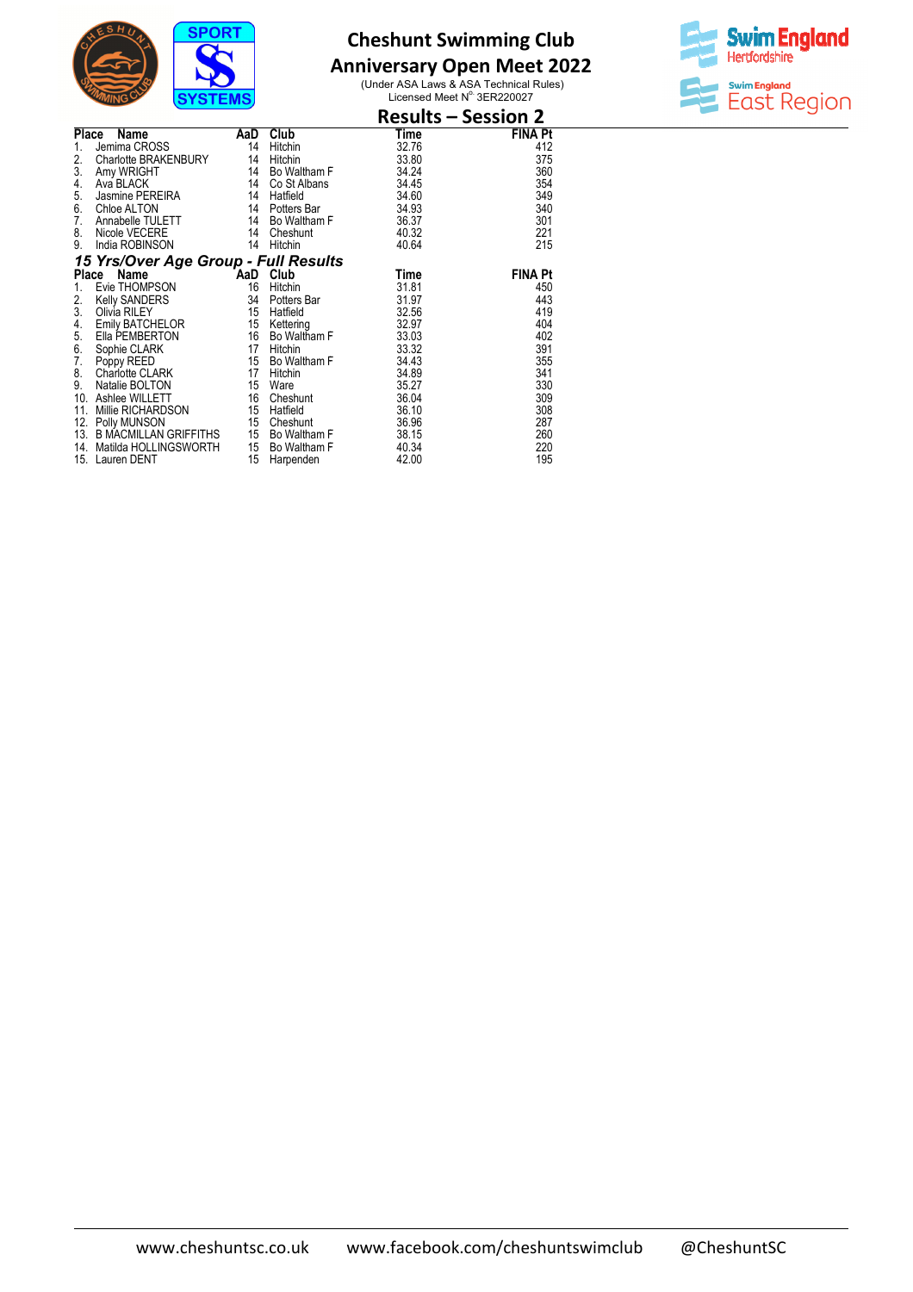

## **Anniversary Open Meet 2022**



|                                      |     |              | <b>Results – Session 2</b> |                |
|--------------------------------------|-----|--------------|----------------------------|----------------|
| <b>Place</b><br>Name                 | AaD | Club         | Time                       | FINA Pt        |
| Jemima CROSS<br>1.                   | 14  | Hitchin      | 32.76                      | 412            |
| 2.<br>Charlotte BRAKENBURY           | 14  | Hitchin      | 33.80                      | 375            |
| 3.<br>Amy WRIGHT                     | 14  | Bo Waltham F | 34.24                      | 360            |
| 4.<br>Ava BLACK                      | 14  | Co St Albans | 34.45                      | 354            |
| 5.<br>Jasmine PEREIRA                | 14  | Hatfield     | 34.60                      | 349            |
| 6.<br>Chloe ALTON                    | 14  | Potters Bar  | 34.93                      | 340            |
| 7.<br>Annabelle TULETT               | 14  | Bo Waltham F | 36.37                      | 301            |
| 8.<br>Nicole VECERE                  | 14  | Cheshunt     | 40.32                      | 221            |
| 9.<br>India ROBINSON                 | 14  | Hitchin      | 40.64                      | 215            |
| 15 Yrs/Over Age Group - Full Results |     |              |                            |                |
| Place<br>Name                        |     | AaD Club     | Time                       | <b>FINA Pt</b> |
| Evie THOMPSON<br>1.                  | 16  | Hitchin      | 31.81                      | 450            |
| 2.<br>Kelly SANDERS                  | 34  | Potters Bar  | 31.97                      | 443            |
| 3.<br>Olivia RILEY                   | 15  | Hatfield     | 32.56                      | 419            |
| 4.<br>Emily BATCHELOR                | 15  | Kettering    | 32.97                      | 404            |
| 5.<br>Ella PEMBERTON                 | 16  | Bo Waltham F | 33.03                      | 402            |
| 6.<br>Sophie CLARK                   | 17  | Hitchin      | 33.32                      | 391            |
| 7.<br>Poppy REED                     | 15  | Bo Waltham F | 34.43                      | 355            |
| 8.<br>Charlotte CLARK                | 17  | Hitchin      | 34.89                      | 341            |
| 9.<br>Natalie BOLTON                 | 15  | Ware         | 35.27                      | 330            |
| Ashlee WILLETT<br>10.                | 16  | Cheshunt     | 36.04                      | 309            |
| Millie RICHARDSON<br>11.             | 15  | Hatfield     | 36.10                      | 308            |
| 12.<br>Polly MUNSON                  | 15  | Cheshunt     | 36.96                      | 287            |
| <b>B MACMILLAN GRIFFITHS</b><br>13.  | 15  | Bo Waltham F | 38.15                      | 260            |
| Matilda HOLLINGSWORTH<br>14.         | 15  | Bo Waltham F | 40.34                      | 220            |
| 15. Lauren DENT                      | 15  | Harpenden    | 42.00                      | 195            |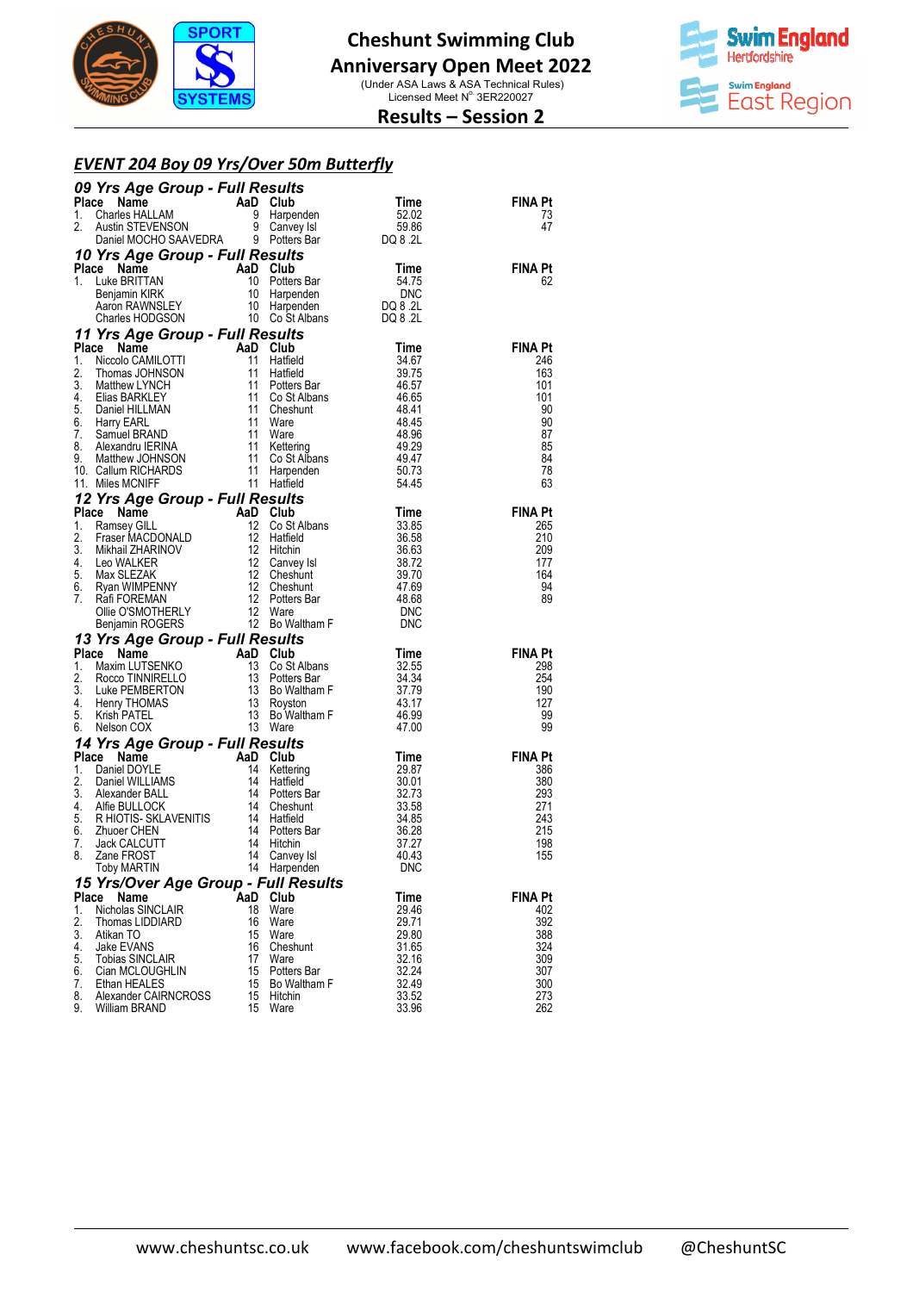



### **Results – Session 2**

#### *EVENT 204 Boy 09 Yrs/Over 50m Butterfly*

|          | <b>09 Yrs Age Group - Full Results<br/> Place Name AaD Club Time<br/> 1. Charles HALLAM 9 Harpenden 52.02<br/> 2. Austin STEVENSON 9 Canvey Isl 59.86<br/> Daniel MOCHO SAAVEDRA 9 Potters Bar DQ 8.2L</b>                                                                              |          |                         |                |                |
|----------|-----------------------------------------------------------------------------------------------------------------------------------------------------------------------------------------------------------------------------------------------------------------------------------------|----------|-------------------------|----------------|----------------|
|          |                                                                                                                                                                                                                                                                                         |          |                         |                | <b>FINA Pt</b> |
|          |                                                                                                                                                                                                                                                                                         |          |                         |                | 73             |
|          |                                                                                                                                                                                                                                                                                         |          |                         |                | 47             |
|          | <b>State State Croup - Full Results</b><br><b>CE Name AaD Club</b><br>Luke BRITTAN 10 Potters Bar 54.75<br>Benjamin KIRK 10 Harpenden DO 8.2L<br>Charles HODGSON 10 Co St Albans DQ 8.2L<br>Charles HODGSON 10 Co St Albans DQ 8.2L<br>Charles HODGS<br>10 Yrs Age Group - Full Results |          |                         |                |                |
|          | Place Name                                                                                                                                                                                                                                                                              |          |                         |                | <b>FINA Pt</b> |
| 1.       |                                                                                                                                                                                                                                                                                         |          |                         |                | 62             |
|          |                                                                                                                                                                                                                                                                                         |          |                         |                |                |
|          |                                                                                                                                                                                                                                                                                         |          |                         |                |                |
|          | 11 Yrs Age Group - Full Results                                                                                                                                                                                                                                                         |          |                         |                |                |
|          | 11 Yrs Age Group - Full Results<br>1. Niccolo CAMILOTTI 11 Haffield<br>1. Niccolo CAMILOTTI 11 Haffield<br>11 Haffield<br>11 Haffield<br>11 Haffield<br>11 Potters Bar<br>11 Cost Albans<br>46.57<br>4. Elias BARKLEY<br>11 Cost Albans<br>6.65<br>5.                                   |          |                         |                | <b>FINA Pt</b> |
|          |                                                                                                                                                                                                                                                                                         |          |                         |                | 246            |
|          |                                                                                                                                                                                                                                                                                         |          |                         |                | 163            |
|          |                                                                                                                                                                                                                                                                                         |          |                         |                | 101<br>101     |
|          |                                                                                                                                                                                                                                                                                         |          |                         |                | 90             |
|          |                                                                                                                                                                                                                                                                                         |          |                         |                | 90             |
|          |                                                                                                                                                                                                                                                                                         |          |                         |                | 87             |
|          |                                                                                                                                                                                                                                                                                         |          |                         |                | 85             |
|          |                                                                                                                                                                                                                                                                                         |          |                         |                | 84<br>78       |
|          |                                                                                                                                                                                                                                                                                         |          |                         |                | 63             |
|          | 11. Miles Munitipality<br>12 Yrs Age Group - Full Results<br>1. Ramsey Gill and Club<br>1. Ramsey Gill and Club<br>12 Go St Albans<br>12 Go St Albans<br>12 Go St Albans<br>12 Go St Albans<br>12 Go St Albans<br>12 Hitchin<br>12 Hitchin<br>36.58<br>                                 |          |                         |                |                |
|          |                                                                                                                                                                                                                                                                                         |          |                         |                | <b>FINA Pt</b> |
|          |                                                                                                                                                                                                                                                                                         |          |                         |                | 265            |
|          |                                                                                                                                                                                                                                                                                         |          |                         |                | 210<br>209     |
|          |                                                                                                                                                                                                                                                                                         |          |                         |                | 177            |
|          |                                                                                                                                                                                                                                                                                         |          |                         |                | 164            |
|          |                                                                                                                                                                                                                                                                                         |          |                         |                | 94             |
|          |                                                                                                                                                                                                                                                                                         |          |                         |                | 89             |
|          |                                                                                                                                                                                                                                                                                         |          |                         |                |                |
|          | <b>13 Yrs Age Group - Full Results</b><br><b>Place Name</b><br><b>AaD Club</b><br>1. Maxim LUTSENKO<br>2. Rocco TINNIRELLO<br>2. Rocco TINNIRELLO<br>13 Potters Bar<br>2. Luke PEMBERTON<br>4. Henry THOMAS<br>4. Henry THOMAS<br>5. Krish PATEL<br>6. Nelson COX<br>                   |          |                         |                |                |
|          |                                                                                                                                                                                                                                                                                         |          |                         |                | <b>FINA Pt</b> |
|          |                                                                                                                                                                                                                                                                                         |          |                         |                | 298            |
|          |                                                                                                                                                                                                                                                                                         |          |                         |                | 254            |
|          |                                                                                                                                                                                                                                                                                         |          |                         |                | 190<br>127     |
|          |                                                                                                                                                                                                                                                                                         |          |                         |                | 99             |
|          |                                                                                                                                                                                                                                                                                         |          |                         |                | 99             |
|          | 14 Yrs Age Group - Full Results<br>14 Yrs Age Group - Full Results<br>1. Daniel NOYLE<br>14 Lettering<br>14 Hatfield<br>14 Hatfield<br>14 Hatfield<br>30.01<br>29.87<br>2. Daniel WILLIAMS<br>14 Hatfield<br>30.01<br>3.01<br>3.358<br>5. RHIOTIS-SKLAVENI                              |          |                         |                |                |
|          |                                                                                                                                                                                                                                                                                         |          |                         |                | <b>FINA Pt</b> |
|          |                                                                                                                                                                                                                                                                                         |          |                         |                | 386<br>380     |
|          |                                                                                                                                                                                                                                                                                         |          |                         |                | 293            |
|          |                                                                                                                                                                                                                                                                                         |          |                         |                | 271            |
|          |                                                                                                                                                                                                                                                                                         |          |                         |                | 243            |
|          |                                                                                                                                                                                                                                                                                         |          |                         |                | 215<br>198     |
|          |                                                                                                                                                                                                                                                                                         |          |                         |                | 155            |
|          | Toby MARTIN                                                                                                                                                                                                                                                                             |          | 14 Harpenden            | DNC            |                |
|          | 15 Yrs/Over Age Group - Full Results                                                                                                                                                                                                                                                    |          |                         |                |                |
| Place    | Name                                                                                                                                                                                                                                                                                    | AaD Club |                         | Time           | FINA Pt        |
| 1.<br>2. | Nicholas SINCLAIR                                                                                                                                                                                                                                                                       | 18<br>16 | Ware<br>Ware            | 29.46          | 402<br>392     |
| 3.       | Thomas LIDDIARD<br>Atikan TO                                                                                                                                                                                                                                                            | 15       | Ware                    | 29.71<br>29.80 | 388            |
| 4.       | Jake EVANS                                                                                                                                                                                                                                                                              | 16       | Cheshunt                | 31.65          | 324            |
| 5.       | <b>Tobias SINCLAIR</b>                                                                                                                                                                                                                                                                  | 17       | Ware                    | 32.16          | 309            |
| 6.       | Cian MCLOUGHLIN                                                                                                                                                                                                                                                                         | 15       | Potters Bar             | 32.24          | 307            |
| 7.<br>8. | Ethan HEALES<br>Alexander CAIRNCROSS                                                                                                                                                                                                                                                    | 15<br>15 | Bo Waltham F<br>Hitchin | 32.49<br>33.52 | 300<br>273     |
| 9.       | William BRAND                                                                                                                                                                                                                                                                           | 15       | Ware                    | 33.96          | 262            |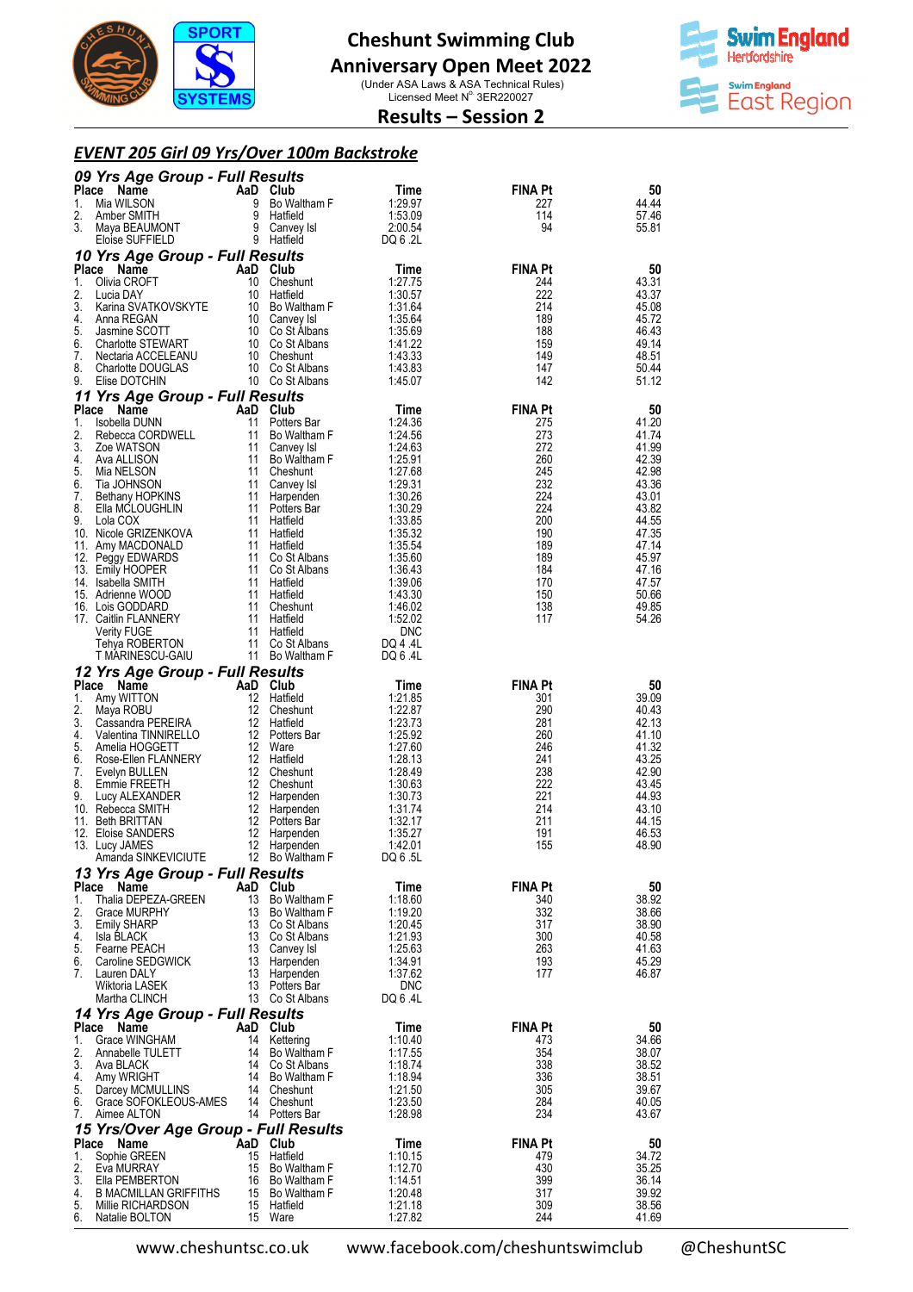

#### **Anniversary Open Meet 2022**

(Under ASA Laws & ASA Technical Rules)<br>Licensed Meet N° 3ER220027



#### **Results – Session 2**

#### *EVENT 205 Girl 09 Yrs/Over 100m Backstroke*

|                    | 09 Yrs Age Group - Full Results                |           |                                    |                       |                       |                |
|--------------------|------------------------------------------------|-----------|------------------------------------|-----------------------|-----------------------|----------------|
| <b>Place</b><br>1. | Name<br>Mia WILSON                             | 9         | AaD Club<br>Bo Waltham F           | Time<br>1:29.97       | FINA Pt<br>227        | 50<br>44.44    |
| 2.                 | Amber SMITH                                    | 9         | Hatfield                           | 1:53.09               | 114                   | 57.46          |
| 3.                 | Maya BEAUMONT                                  |           | 9 Canvey Isl                       | 2:00.54               | 94                    | 55.81          |
|                    | Eloise SUFFIELD                                |           | 9 Hatfield                         | DQ 6 .2L              |                       |                |
| <b>Place</b>       | 10 Yrs Age Group - Full Results<br>Name        |           | AaD Club                           | Time                  | <b>FINA Pt</b>        | 50             |
| 1.                 | Olivia CROFT                                   | 10        | Cheshunt                           | 1:27.75               | 244                   | 43.31          |
| 2.<br>3.           | Lucia DAY<br>Karina SVATKOVSKYTE               | 10        | Hatfield<br>10 Bo Waltham F        | 1:30.57<br>1:31.64    | 222<br>214            | 43.37<br>45.08 |
| 4.                 | Anna REGAN                                     |           | 10 Canvey Isl                      | 1:35.64               | 189                   | 45.72          |
| 5.                 | Jasmine SCOTT                                  |           | 10 Co St Albans                    | 1:35.69               | 188                   | 46.43          |
| 6.<br>7.           | <b>Charlotte STEWART</b><br>Nectaria ACCELEANU |           | 10 Co St Albans<br>10 Cheshunt     | 1:41.22<br>1:43.33    | 159<br>149            | 49.14<br>48.51 |
| 8.                 | <b>Charlotte DOUGLAS</b>                       |           | 10 Co St Albans                    | 1:43.83               | 147                   | 50.44          |
| 9.                 | Elise DOTCHIN                                  |           | 10 Co St Albans                    | 1:45.07               | 142                   | 51.12          |
| <b>Place</b>       | 11 Yrs Age Group - Full Results<br>Name        |           | AaD Club                           | Time                  | <b>FINA Pt</b>        | 50             |
| 1.                 | Isobella DUNN                                  | 11        | Potters Bar                        | 1:24.36               | 275                   | 41.20          |
| 2.                 | Rebecca CORDWELL                               | 11        | Bo Waltham F                       | 1:24.56               | 273                   | 41.74          |
| 3.<br>4.           | Zoe WATSON<br>Ava ALLISON                      | 11<br>11  | Canvey Isl<br>Bo Waltham F         | 1:24.63<br>1:25.91    | 272<br>260            | 41.99<br>42.39 |
| 5.                 | Mia NELSON                                     | 11        | Cheshunt                           | 1:27.68               | 245                   | 42.98          |
| 6.                 | Tia JOHNSON                                    | 11        | Canvey Isl                         | 1:29.31               | 232                   | 43.36          |
| 7.<br>8.           | Bethany HOPKINS<br>Ella MCLOUGHLIN             | 11<br>11  | Harpenden<br>Potters Bar           | 1:30.26<br>1:30.29    | 224<br>224            | 43.01<br>43.82 |
| 9.                 | Lola COX                                       | 11        | Hatfield                           | 1:33.85               | 200                   | 44.55          |
| 11.                | 10. Nicole GRIZENKOVA<br>Amy MACDONALD         | 11        | 11 Hatfield<br>Hatfield            | 1:35.32<br>1:35.54    | 190<br>189            | 47.35<br>47.14 |
|                    | 12. Peggy EDWARDS                              |           | 11 Co St Albans                    | 1:35.60               | 189                   | 45.97          |
|                    | 13. Emily HOOPER                               |           | 11 Co St Albans                    | 1:36.43               | 184                   | 47.16          |
|                    | 14. Isabella SMITH<br>15. Adrienne WOOD        | 11        | Hatfield<br>11 Hatfield            | 1:39.06<br>1:43.30    | 170<br>150            | 47.57<br>50.66 |
|                    | 16. Lois GODDARD                               | 11        | Cheshunt                           | 1:46.02               | 138                   | 49.85          |
|                    | 17. Caitlin FLANNERY                           | 11<br>11  | Hatfield                           | 1:52.02<br><b>DNC</b> | 117                   | 54.26          |
|                    | <b>Verity FUGE</b><br>Tehya ROBERTON           |           | Hatfield<br>11 Co St Albans        | DQ 4 .4L              |                       |                |
|                    | T MARINESCU-GAIU                               |           | 11 Bo Waltham F                    | DQ 6 .4L              |                       |                |
|                    | 12 Yrs Age Group - Full Results                |           |                                    |                       |                       |                |
| Place<br>1.        | Name<br>Amy WITTON                             | AaD<br>12 | Club<br>Hatfield                   | Time<br>1:21.85       | <b>FINA Pt</b><br>301 | 50<br>39.09    |
| 2.                 | Maya ROBU                                      | 12        | Cheshunt                           | 1:22.87               | 290                   | 40.43          |
| 3.<br>4.           | Cassandra PEREIRA                              | 12        | Hatfield<br>12 Potters Bar         | 1:23.73<br>1:25.92    | 281<br>260            | 42.13<br>41.10 |
| 5.                 | Valentina TINNIRELLO<br>Amelia HOGGETT         | 12        | Ware                               | 1:27.60               | 246                   | 41.32          |
| 6.                 | Rose-Ellen FLANNERY                            |           | 12 Hatfield                        | 1:28.13               | 241                   | 43.25          |
| 7.<br>8.           | Evelyn BULLEN<br>Emmie FREETH                  | 12        | 12 Cheshunt<br>Cheshunt            | 1:28.49<br>1:30.63    | 238<br>222            | 42.90<br>43.45 |
| 9.                 | Lucy ALEXANDER                                 | 12        | Harpenden                          | 1:30.73               | 221                   | 44.93          |
|                    | 10. Rebecca SMITH                              | 12        | Harpenden                          | 1:31.74               | 214                   | 43.10          |
|                    | 11. Beth BRITTAN<br>12. Eloise SANDERS         | 12<br>12  | Potters Bar<br>Harpenden           | 1:32.17<br>1:35.27    | 211<br>191            | 44.15<br>46.53 |
|                    | 13. Lucy JAMES                                 | 12        | Harpenden                          | 1:42.01               | 155                   | 48.90          |
|                    | Amanda SINKEVICIUTE                            |           | 12 Bo Waltham F                    | DQ 6 .5L              |                       |                |
| <b>Place</b>       | 13 Yrs Age Group - Full Results<br>Name        |           | AaD Club                           | Time                  | FINA Pt               | 50             |
| 1.                 | Thalia DEPEZA-GREEN                            | 13        | Bo Waltham F                       | 1:18.60               | 340                   | 38.92          |
| 2.                 | <b>Grace MURPHY</b>                            |           | 13 Bo Waltham F                    | 1:19.20               | 332                   | 38.66          |
| 3.<br>4.           | <b>Emily SHARP</b><br>Isla BLACK               |           | 13 Co St Albans<br>13 Co St Albans | 1:20.45<br>1:21.93    | 317<br>300            | 38.90<br>40.58 |
| 5.                 | Fearne PEACH                                   |           | 13 Canvey Isl                      | 1:25.63               | 263                   | 41.63          |
| 6.<br>7.           | Caroline SEDGWICK<br>Lauren DALY               | 13        | Harpenden<br>13 Harpenden          | 1:34.91<br>1:37.62    | 193<br>177            | 45.29<br>46.87 |
|                    | Wiktoria LASEK                                 |           | 13 Potters Bar                     | <b>DNC</b>            |                       |                |
|                    | Martha CLINCH                                  |           | 13 Co St Albans                    | DQ 6 .4L              |                       |                |
|                    | 14 Yrs Age Group - Full Results                |           |                                    |                       |                       |                |
| Place<br>1.        | Name<br>Grace WINGHAM                          |           | AaD Club<br>14 Kettering           | Time<br>1:10.40       | <b>FINA Pt</b><br>473 | 50<br>34.66    |
| 2.                 | Annabelle TULETT                               |           | 14 Bo Waltham F                    | 1:17.55               | 354                   | 38.07          |
| 3.<br>4.           | Ava BLACK<br>Amy WRIGHT                        |           | 14 Co St Albans<br>14 Bo Waltham F | 1:18.74<br>1:18.94    | 338<br>336            | 38.52<br>38.51 |
| 5.                 | Darcey MCMULLINS                               |           | 14 Cheshunt                        | 1:21.50               | 305                   | 39.67          |
| 6.                 | Grace SOFOKLEOUS-AMES                          |           | 14 Cheshunt                        | 1:23.50               | 284                   | 40.05          |
| 7.                 | Aimee ALTON                                    |           | 14 Potters Bar                     | 1:28.98               | 234                   | 43.67          |
| Place              | 15 Yrs/Over Age Group - Full Results<br>Name   |           | AaD Club                           | Time                  | FINA Pt               | 50             |
| 1.                 | Sophie GREEN                                   | 15        | Hatfield                           | 1:10.15               | 479                   | 34.72          |
| 2.<br>3.           | Eva MURRAY                                     |           | 15 Bo Waltham F                    | 1:12.70<br>1:14.51    | 430                   | 35.25          |
| 4.                 | Ella PEMBERTON<br><b>B MACMILLAN GRIFFITHS</b> |           | 16 Bo Waltham F<br>15 Bo Waltham F | 1:20.48               | 399<br>317            | 36.14<br>39.92 |
| 5.                 | Millie RICHARDSON                              |           | 15 Hatfield                        | 1:21.18               | 309                   | 38.56          |
| 6.                 | Natalie BOLTON                                 |           | 15 Ware                            | 1:27.82               | 244                   | 41.69          |

www.cheshuntsc.co.uk

www.facebook.com/cheshuntswimclub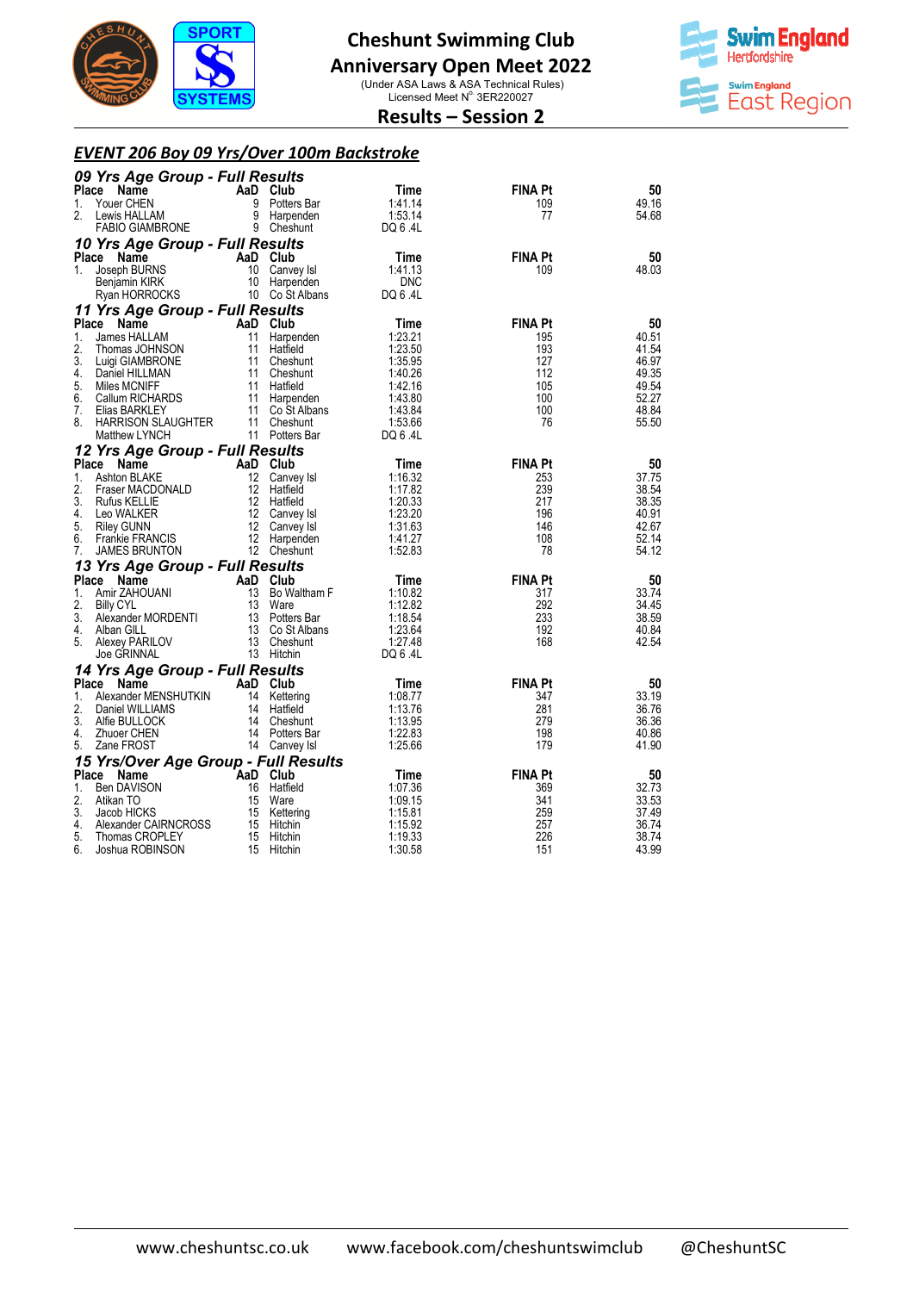

#### **Anniversary Open Meet 2022**

(Under ASA Laws & ASA Technical Rules)<br>Licensed Meet N° 3ER220027



#### **Results – Session 2**

#### *EVENT 206 Boy 09 Yrs/Over 100m Backstroke*

|                | 09 Yrs Age Group - Full Results         |          |                                |                    |                |                |  |  |  |
|----------------|-----------------------------------------|----------|--------------------------------|--------------------|----------------|----------------|--|--|--|
| <b>Place</b>   | Name                                    | AaD Club |                                | Time               | <b>FINA Pt</b> | 50             |  |  |  |
| 1.             | Youer CHEN                              | 9        | Potters Bar                    | 1:41.14            | 109            | 49.16          |  |  |  |
| 2.             | Lewis HALLAM                            |          | 9 Harpenden                    | 1:53.14            | 77             | 54.68          |  |  |  |
|                | <b>FABIO GIAMBRONE</b>                  |          | 9 Cheshunt                     | DQ 6 .4L           |                |                |  |  |  |
|                | 10 Yrs Age Group - Full Results         |          |                                |                    |                |                |  |  |  |
|                | Place Name                              | AaD Club |                                | Time               | <b>FINA Pt</b> | 50             |  |  |  |
| $1_{-}$        | Joseph BURNS                            |          | 10 Canvey Isl                  | 1:41.13            | 109            | 48.03          |  |  |  |
|                | Benjamin KIRK                           |          | 10 Harpenden                   | <b>DNC</b>         |                |                |  |  |  |
|                | Ryan HORROCKS                           |          | 10 Co St Albans                | DQ 6 .4L           |                |                |  |  |  |
|                | 11 Yrs Age Group - Full Results         |          |                                |                    |                |                |  |  |  |
| <b>Place</b>   | Name                                    | AaD Club |                                | Time               | <b>FINA Pt</b> | 50             |  |  |  |
| 1.             | James HALLAM                            | 11       | Harpenden                      | 1:23.21            | 195            | 40.51          |  |  |  |
| 2.             | Thomas JOHNSON                          | 11       | Hatfield                       | 1:23.50            | 193            | 41.54          |  |  |  |
| 3.             | Luigi GIAMBRONE                         | 11       | Cheshunt                       | 1:35.95            | 127            | 46.97          |  |  |  |
| 4.<br>5.       | Daniel HILLMAN                          |          | 11 Cheshunt                    | 1:40.26            | 112            | 49.35          |  |  |  |
| 6.             | Miles MCNIFF<br>Callum RICHARDS         |          | 11 Hatfield<br>11 Harpenden    | 1:42.16<br>1:43.80 | 105<br>100     | 49.54<br>52.27 |  |  |  |
| 7.             | Elias BARKLEY                           |          | 11 Co St Albans                | 1:43.84            | 100            | 48.84          |  |  |  |
| 8.             | HARRISON SLAUGHTER                      |          | 11 Cheshunt                    | 1:53.66            | 76             | 55.50          |  |  |  |
|                | Matthew LYNCH                           |          | 11 Potters Bar                 | DQ 6 .4L           |                |                |  |  |  |
|                | 12 Yrs Age Group - Full Results         |          |                                |                    |                |                |  |  |  |
| <b>Place</b>   | Name                                    | AaD Club |                                | Time               | <b>FINA Pt</b> | 50             |  |  |  |
| 1.             | Ashton BLAKE                            |          | 12 Canvey Isl                  | 1:16.32            | 253            | 37.75          |  |  |  |
| 2.             | Fraser MACDONALD                        |          | 12 Hatfield                    | 1:17.82            | 239            | 38.54          |  |  |  |
| 3.             | <b>Rufus KELLIE</b>                     |          | 12 Hatfield                    | 1:20.33            | 217            | 38.35          |  |  |  |
| 4.             | Leo WALKER                              |          | 12 Canvey Isl                  | 1:23.20            | 196            | 40.91          |  |  |  |
| 5.             | <b>Riley GUNN</b>                       | 12       | Canvey Isl                     | 1:31.63            | 146            | 42.67          |  |  |  |
| 6.             | Frankie FRANCIS                         |          | 12 Harpenden                   | 1:41.27            | 108            | 52.14          |  |  |  |
| 7.             | <b>JAMES BRUNTON</b>                    |          | 12 Cheshunt                    | 1:52.83            | 78             | 54.12          |  |  |  |
|                | 13 Yrs Age Group - Full Results         |          |                                |                    |                |                |  |  |  |
| <b>Place</b>   | Name                                    | AaD Club |                                | Time               | <b>FINA Pt</b> | 50             |  |  |  |
| 1.             | Amir ZAHOUANI                           | 13       | Bo Waltham F                   | 1:10.82            | 317            | 33.74          |  |  |  |
| 2.             | <b>Billy CYL</b>                        |          | 13 Ware                        | 1:12.82            | 292            | 34.45          |  |  |  |
| 3.             | Alexander MORDENTI                      |          | 13 Potters Bar                 | 1:18.54            | 233            | 38.59          |  |  |  |
| 4.<br>5.       | Alban GILL<br>Alexey PARILOV            |          | 13 Co St Albans<br>13 Cheshunt | 1:23.64<br>1:27.48 | 192<br>168     | 40.84<br>42.54 |  |  |  |
|                | Joe GRINNAL                             |          | 13 Hitchin                     | DQ 6.4L            |                |                |  |  |  |
|                |                                         |          |                                |                    |                |                |  |  |  |
| <b>Place</b>   | 14 Yrs Age Group - Full Results<br>Name | AaD Club |                                | Time               | <b>FINA Pt</b> | 50             |  |  |  |
| 1.             | Alexander MENSHUTKIN                    |          | 14 Kettering                   | 1:08.77            | 347            | 33.19          |  |  |  |
| 2.             | Daniel WILLIAMS                         |          | 14 Hatfield                    | 1:13.76            | 281            | 36.76          |  |  |  |
| 3.             | Alfie BULLOCK                           | 14       | Cheshunt                       | 1:13.95            | 279            | 36.36          |  |  |  |
| 4.             | Zhuoer CHEN                             |          | 14 Potters Bar                 | 1:22.83            | 198            | 40.86          |  |  |  |
| 5.             | Zane FROST                              |          | 14 Canvey Isl                  | 1:25.66            | 179            | 41.90          |  |  |  |
|                | 15 Yrs/Over Age Group - Full Results    |          |                                |                    |                |                |  |  |  |
| <b>Place</b>   | Name                                    | AaD Club |                                | Time               | <b>FINA Pt</b> | 50             |  |  |  |
| $\mathbf{1}$ . | <b>Ben DAVISON</b>                      |          | 16 Hatfield                    | 1:07.36            | 369            | 32.73          |  |  |  |
| 2.             | Atikan TO                               | 15       | Ware                           | 1:09.15            | 341            | 33.53          |  |  |  |
| 3.             | Jacob HICKS                             | 15       | Kettering                      | 1:15.81            | 259            | 37.49          |  |  |  |
| 4.             | Alexander CAIRNCROSS                    |          | 15 Hitchin                     | 1:15.92            | 257            | 36.74          |  |  |  |
| 5.             | Thomas CROPLEY                          |          | 15 Hitchin                     | 1:19.33            | 226            | 38.74          |  |  |  |
| 6.             | Joshua ROBINSON                         | 15       | Hitchin                        | 1:30.58            | 151            | 43.99          |  |  |  |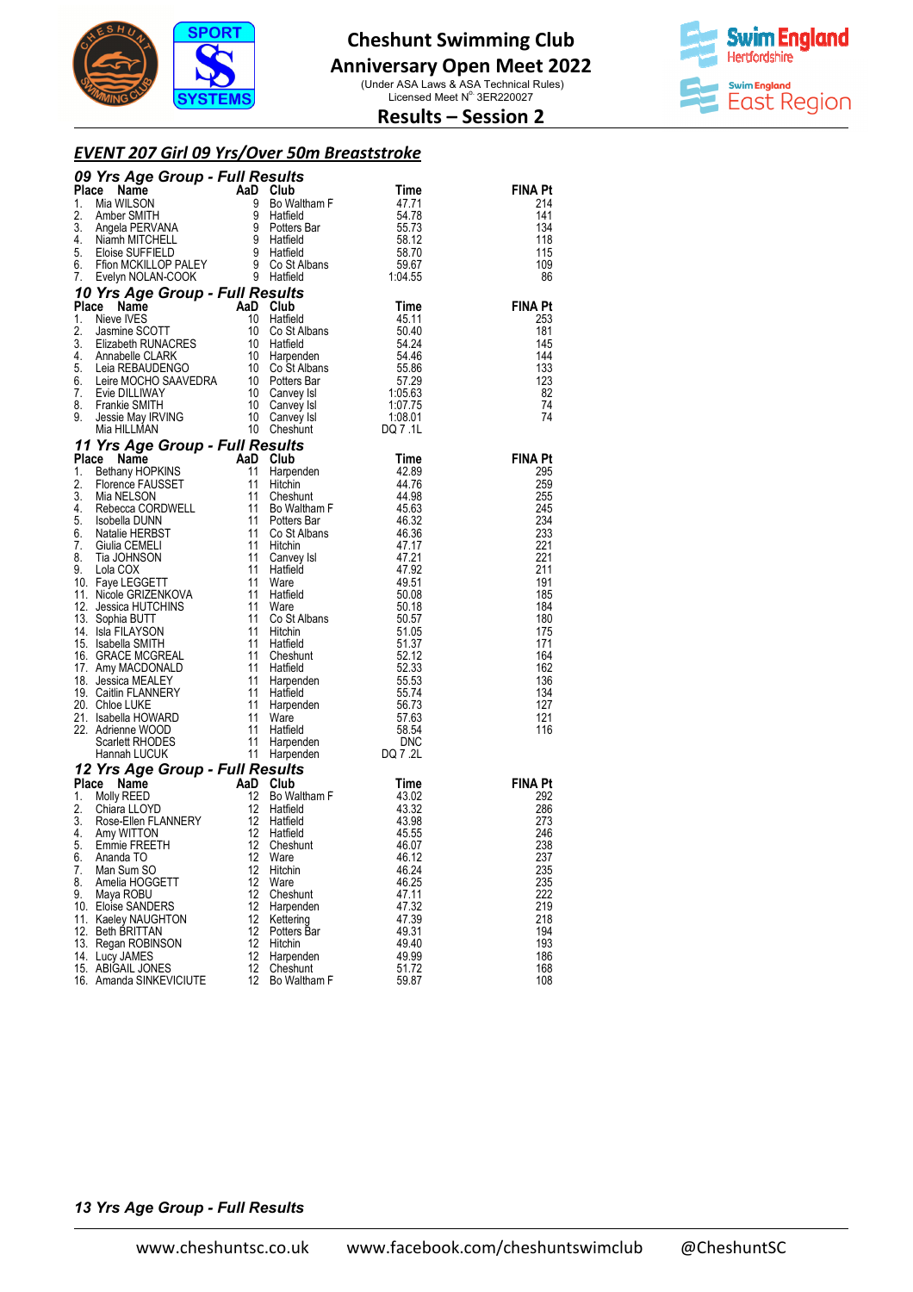

### **Anniversary Open Meet 2022**

(Under ASA Laws & ASA Technical Rules)<br>Licensed Meet N° 3ER220027



#### **Results – Session 2**

#### *EVENT 207 Girl 09 Yrs/Over 50m Breaststroke*

|          | <b>09 Yrs Age Group - Full Results</b><br>Time<br>1. Mia WILSON 8 Bo Waltham F<br>2. Amber SMITH 9 Hatfield 54.78<br>3. Angela PERVANA 9 Potters Bar<br>4. Niamh MITCHELL 9 Hatfield 58.12<br>5. Eloise SUFFIELD 9 Hatfield 58.12<br>6. Eloise SU |          |                  |                |                       |
|----------|---------------------------------------------------------------------------------------------------------------------------------------------------------------------------------------------------------------------------------------------------|----------|------------------|----------------|-----------------------|
|          |                                                                                                                                                                                                                                                   |          |                  |                | <b>FINA Pt</b>        |
|          |                                                                                                                                                                                                                                                   |          |                  |                | 214                   |
|          |                                                                                                                                                                                                                                                   |          |                  |                | 141                   |
|          |                                                                                                                                                                                                                                                   |          |                  |                | 134                   |
|          |                                                                                                                                                                                                                                                   |          |                  |                | 118                   |
|          |                                                                                                                                                                                                                                                   |          |                  |                | 115<br>109            |
|          |                                                                                                                                                                                                                                                   |          |                  |                | 86                    |
|          |                                                                                                                                                                                                                                                   |          |                  |                |                       |
|          |                                                                                                                                                                                                                                                   |          |                  |                | <b>FINA Pt</b>        |
|          |                                                                                                                                                                                                                                                   |          |                  |                | 253                   |
|          |                                                                                                                                                                                                                                                   |          |                  |                | 181                   |
|          |                                                                                                                                                                                                                                                   |          |                  |                | 145                   |
|          |                                                                                                                                                                                                                                                   |          |                  |                | 144                   |
|          |                                                                                                                                                                                                                                                   |          |                  |                | 133                   |
|          |                                                                                                                                                                                                                                                   |          |                  |                | 123<br>82             |
|          |                                                                                                                                                                                                                                                   |          |                  |                | 74                    |
|          |                                                                                                                                                                                                                                                   |          |                  |                | 74                    |
|          |                                                                                                                                                                                                                                                   |          |                  |                |                       |
|          | S. Elose Subri-HLUID PALENCE States and the states of the states of the states and the states and the states and the states and the states and the states and the states and the states and the states and the states and the                     |          |                  |                |                       |
|          |                                                                                                                                                                                                                                                   |          |                  |                | <b>FINA Pt</b>        |
|          |                                                                                                                                                                                                                                                   |          |                  |                | 295                   |
|          |                                                                                                                                                                                                                                                   |          |                  |                | 259                   |
|          |                                                                                                                                                                                                                                                   |          |                  |                | 255<br>245            |
|          |                                                                                                                                                                                                                                                   |          |                  |                | 234                   |
|          |                                                                                                                                                                                                                                                   |          |                  |                | 233                   |
|          |                                                                                                                                                                                                                                                   |          |                  |                | 221                   |
|          |                                                                                                                                                                                                                                                   |          |                  |                | 221                   |
|          |                                                                                                                                                                                                                                                   |          |                  |                | 211                   |
|          |                                                                                                                                                                                                                                                   |          |                  |                | 191                   |
|          |                                                                                                                                                                                                                                                   |          |                  |                | 185<br>184            |
|          |                                                                                                                                                                                                                                                   |          |                  |                | 180                   |
|          |                                                                                                                                                                                                                                                   |          |                  |                | 175                   |
|          |                                                                                                                                                                                                                                                   |          |                  |                | 171                   |
|          |                                                                                                                                                                                                                                                   |          |                  |                | 164                   |
|          |                                                                                                                                                                                                                                                   |          |                  |                | 162                   |
|          |                                                                                                                                                                                                                                                   |          |                  |                | 136<br>134            |
|          |                                                                                                                                                                                                                                                   |          |                  |                | 127                   |
|          |                                                                                                                                                                                                                                                   |          |                  |                | 121                   |
|          |                                                                                                                                                                                                                                                   |          |                  |                | 116                   |
|          |                                                                                                                                                                                                                                                   |          |                  |                |                       |
|          |                                                                                                                                                                                                                                                   |          |                  |                |                       |
|          |                                                                                                                                                                                                                                                   |          |                  |                |                       |
|          |                                                                                                                                                                                                                                                   |          |                  |                | <b>FINA Pt</b><br>292 |
|          |                                                                                                                                                                                                                                                   |          |                  |                | 286                   |
|          |                                                                                                                                                                                                                                                   |          |                  |                | 273                   |
|          |                                                                                                                                                                                                                                                   |          |                  |                | 246                   |
|          |                                                                                                                                                                                                                                                   |          |                  |                | 238                   |
| 6.       | Ananda TO                                                                                                                                                                                                                                         | 12       | Ware             | 46.12          | 237                   |
| 7.       | Man Sum SO                                                                                                                                                                                                                                        | 12       | Hitchin          | 46.24          | 235                   |
| 8.<br>9. | Amelia HOGGETT<br>Maya ROBU                                                                                                                                                                                                                       | 12<br>12 | Ware<br>Cheshunt | 46.25<br>47.11 | 235<br>222            |
|          | 10. Eloise SANDERS                                                                                                                                                                                                                                | 12       | Harpenden        | 47.32          | 219                   |
|          | 11. Kaeley NAUGHTON                                                                                                                                                                                                                               | 12       | Kettering        | 47.39          | 218                   |
|          | 12. Beth BRITTAN                                                                                                                                                                                                                                  | 12       | Potters Bar      | 49.31          | 194                   |
|          | 13. Regan ROBINSON                                                                                                                                                                                                                                | 12       | Hitchin          | 49.40          | 193                   |
|          | 14. Lucy JAMES                                                                                                                                                                                                                                    | 12       | Harpenden        | 49.99          | 186                   |
|          | 15. ABIGAIL JONES                                                                                                                                                                                                                                 | 12       | Cheshunt         | 51.72          | 168                   |
|          | 16. Amanda SINKEVICIUTE                                                                                                                                                                                                                           | 12       | Bo Waltham F     | 59.87          | 108                   |

#### *13 Yrs Age Group - Full Results*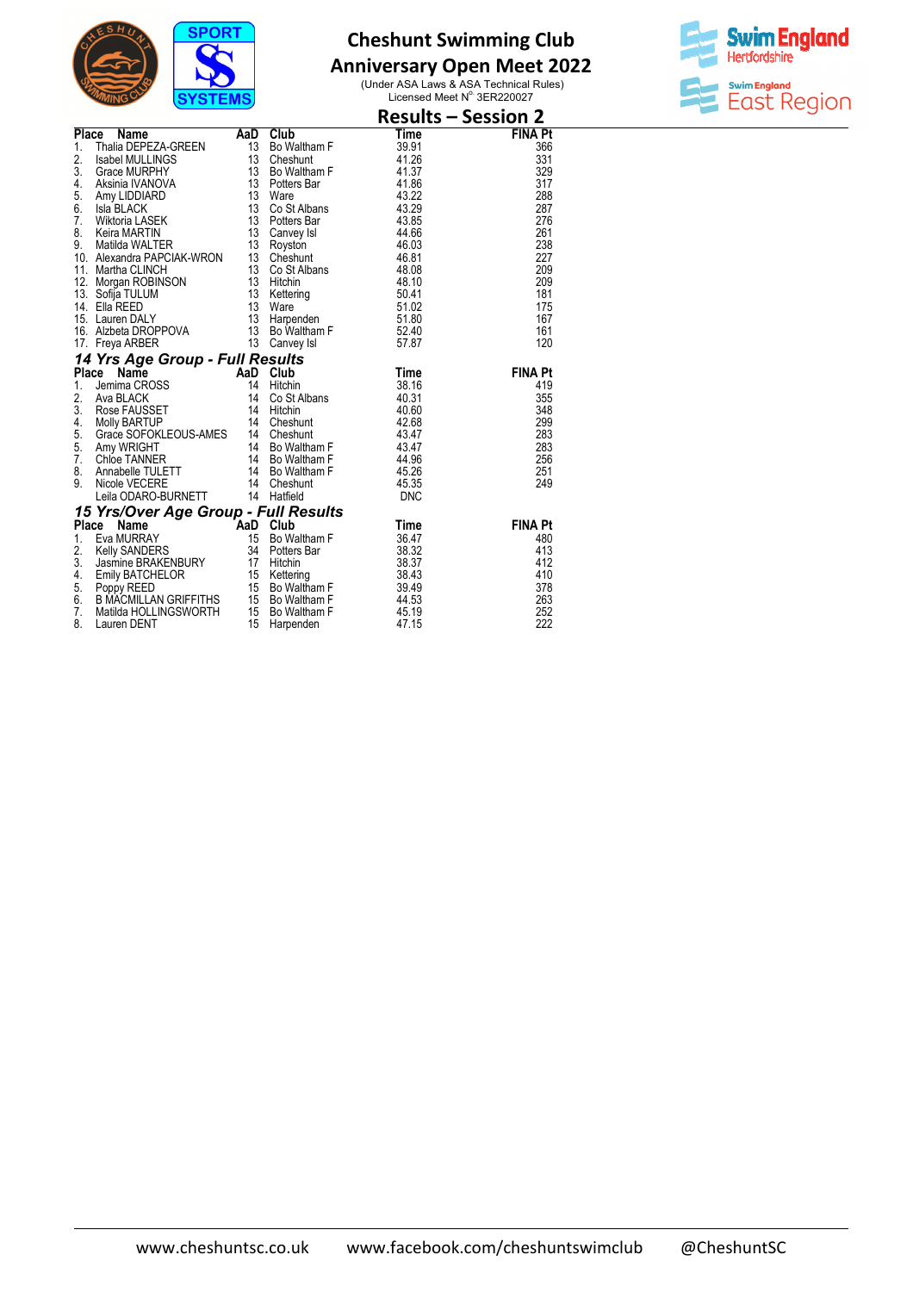

## **Anniversary Open Meet 2022**



|                                                                                                                                                                                                                                                          |  | <b>Results – Session 2</b> |
|----------------------------------------------------------------------------------------------------------------------------------------------------------------------------------------------------------------------------------------------------------|--|----------------------------|
| <b>Result 11</b><br>1. Thaila DEPEZA-GREEN<br>1. Thaila DEPEZA-GREEN<br>1. Sabel MULLINGS<br>1. Sabel MULLINGS<br>1. Sabel MULLINGS<br>1. Sabel MULLINGS<br>1. Sabel MULLINGS<br>1. Sabel MULLINGS<br>1. Sabel MULLINGS<br>1. Sabel MULLINGS<br>1. Sabel |  | <b>FINA Pt</b>             |
|                                                                                                                                                                                                                                                          |  | 366                        |
|                                                                                                                                                                                                                                                          |  | 331                        |
|                                                                                                                                                                                                                                                          |  | 329                        |
|                                                                                                                                                                                                                                                          |  | 317                        |
|                                                                                                                                                                                                                                                          |  | 288                        |
|                                                                                                                                                                                                                                                          |  | 287                        |
|                                                                                                                                                                                                                                                          |  | 276                        |
|                                                                                                                                                                                                                                                          |  | 261                        |
|                                                                                                                                                                                                                                                          |  | 238                        |
|                                                                                                                                                                                                                                                          |  | 227                        |
|                                                                                                                                                                                                                                                          |  | 209                        |
|                                                                                                                                                                                                                                                          |  | 209                        |
|                                                                                                                                                                                                                                                          |  | 181                        |
|                                                                                                                                                                                                                                                          |  | 175                        |
|                                                                                                                                                                                                                                                          |  | 167                        |
|                                                                                                                                                                                                                                                          |  | 161                        |
|                                                                                                                                                                                                                                                          |  | 120                        |
|                                                                                                                                                                                                                                                          |  |                            |
|                                                                                                                                                                                                                                                          |  | <b>FINA Pt</b>             |
|                                                                                                                                                                                                                                                          |  | 419                        |
|                                                                                                                                                                                                                                                          |  | 355                        |
|                                                                                                                                                                                                                                                          |  | 348                        |
|                                                                                                                                                                                                                                                          |  | 299                        |
|                                                                                                                                                                                                                                                          |  | 283                        |
|                                                                                                                                                                                                                                                          |  | 283                        |
|                                                                                                                                                                                                                                                          |  | 256                        |
|                                                                                                                                                                                                                                                          |  | 251                        |
|                                                                                                                                                                                                                                                          |  | 249                        |
|                                                                                                                                                                                                                                                          |  |                            |
|                                                                                                                                                                                                                                                          |  |                            |
|                                                                                                                                                                                                                                                          |  | <b>FINA Pt</b>             |
|                                                                                                                                                                                                                                                          |  | 480                        |
|                                                                                                                                                                                                                                                          |  | 413                        |
|                                                                                                                                                                                                                                                          |  | 412                        |
|                                                                                                                                                                                                                                                          |  | 410                        |
|                                                                                                                                                                                                                                                          |  | 378                        |
|                                                                                                                                                                                                                                                          |  | 263                        |
|                                                                                                                                                                                                                                                          |  | 252                        |
| 17. Freya ARBER 13 Canvey Isl 57.87<br><b>14 Yrs Age Group - Full Results</b><br><b>14 Yrs Age Group - Full Results</b><br>1. Jemima CROSS 14 Hitchin 38.16<br>2. Ava BLACK 14 Co St Albans 40.31<br>3. Rose FAUSEST 14 Hitchin 40.60<br>4. Molly B      |  | 222                        |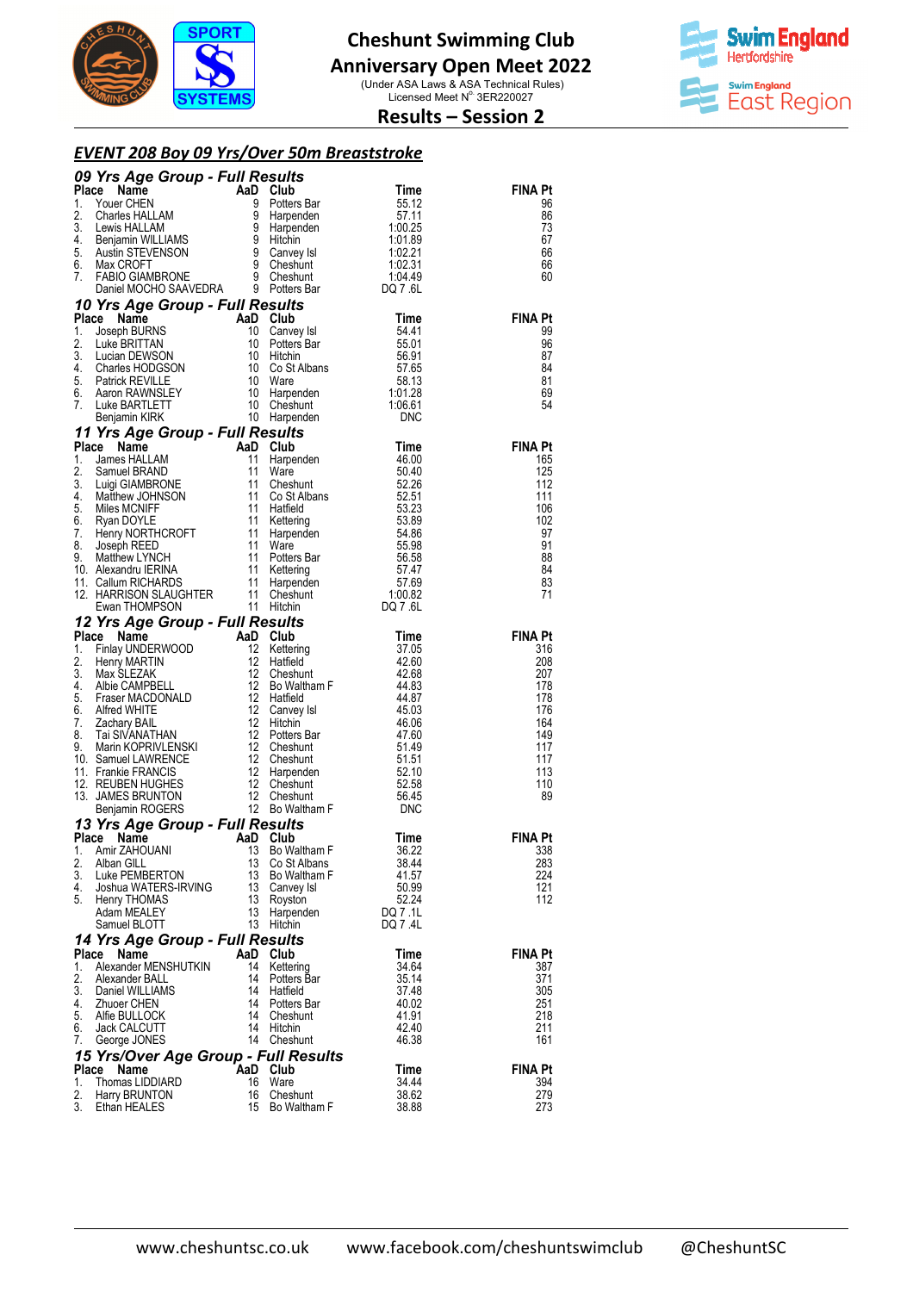

### **Anniversary Open Meet 2022**

(Under ASA Laws & ASA Technical Rules)<br>Licensed Meet N° 3ER220027



### **Results – Session 2**

#### *EVENT 208 Boy 09 Yrs/Over 50m Breaststroke*

|             | 09 Yrs Age Group - Full Results                                                                                                                                                                                                                                                |           |                            |                |                       |
|-------------|--------------------------------------------------------------------------------------------------------------------------------------------------------------------------------------------------------------------------------------------------------------------------------|-----------|----------------------------|----------------|-----------------------|
|             | Place                                                                                                                                                                                                                                                                          |           | <b>Club</b><br>Potters Bar |                | <b>FINA Pt</b><br>96  |
| 1.<br>2.    |                                                                                                                                                                                                                                                                                |           |                            |                | 86                    |
| 3.          |                                                                                                                                                                                                                                                                                |           |                            |                | 73                    |
| 4.          |                                                                                                                                                                                                                                                                                |           |                            |                | 67                    |
| 5.<br>6.    |                                                                                                                                                                                                                                                                                |           |                            |                | 66<br>66              |
| 7.          |                                                                                                                                                                                                                                                                                |           |                            |                | 60                    |
|             | Triangle California Control Control California California California California California California California California California California California California California California California California California                                                 |           |                            |                |                       |
|             | 10 Yrs Age Group - Full Results                                                                                                                                                                                                                                                |           |                            |                |                       |
| 1.          | Place                                                                                                                                                                                                                                                                          |           |                            |                | <b>FINA Pt</b><br>99  |
| 2.          |                                                                                                                                                                                                                                                                                |           |                            |                | 96                    |
| 3.          |                                                                                                                                                                                                                                                                                |           |                            |                | 87                    |
| 4.<br>5.    |                                                                                                                                                                                                                                                                                |           |                            |                | 84<br>81              |
| 6.          |                                                                                                                                                                                                                                                                                |           |                            |                | 69                    |
| 7.          |                                                                                                                                                                                                                                                                                |           |                            |                | 54                    |
|             | Triangle Croup - Full Results<br>Use BRITTAN 10 Canvey Isl<br>Luke BRITTAN 10 Canvey Isl<br>Luke BRITTAN 10 Potters Bar<br>Lucian DEWSON 10 Hitchin 56.91<br>Charles HODGSON 10 Co St Albans 57.65<br>Patrick REVILLE 10 Ware 58.13<br>Aaron                                   |           |                            |                |                       |
|             | 11 Yrs Age Group - Full Results<br>11 Vrs Age Group - Full Results<br>Place Name AaD Club Time<br>1. James HALLAM 11 Harpenden 46.00<br>2. Samuel BRAND 11 Ware 50.40<br>4. Ware 50.40<br>4. Matthew JOHNSON 11 Cost Albans 52.26<br>5. Miles MCNIFF 11 Hatfield 53.23<br>6. R |           |                            |                | <b>FINA Pt</b>        |
|             |                                                                                                                                                                                                                                                                                |           |                            |                | 165                   |
|             |                                                                                                                                                                                                                                                                                |           |                            |                | 125                   |
|             |                                                                                                                                                                                                                                                                                |           |                            |                | 112                   |
|             |                                                                                                                                                                                                                                                                                |           |                            |                | 111<br>106            |
|             |                                                                                                                                                                                                                                                                                |           |                            |                | 102                   |
|             |                                                                                                                                                                                                                                                                                |           |                            |                | 97                    |
|             |                                                                                                                                                                                                                                                                                |           |                            |                | 91<br>88              |
|             |                                                                                                                                                                                                                                                                                |           |                            |                | 84                    |
|             |                                                                                                                                                                                                                                                                                |           |                            |                | 83                    |
|             |                                                                                                                                                                                                                                                                                |           |                            |                | 71                    |
|             |                                                                                                                                                                                                                                                                                |           |                            |                |                       |
|             | Ewan THOMPSON 11 Hitchin<br>12 Yrs Age Group - Full Results<br>12 Yrs Age Group - Full Results<br>1. Finlay UNDERWOOD 12 Kettering 37.05<br>12 Hetfield 42.68<br>3. Max SLEZAK 12 Cheshunt 42.68<br>4. Albie CAMPBELL 12 Bo Waltham F 44.8                                     |           |                            |                | <b>FINA Pt</b>        |
|             |                                                                                                                                                                                                                                                                                |           |                            |                | 316                   |
|             |                                                                                                                                                                                                                                                                                |           |                            |                | 208<br>207            |
|             |                                                                                                                                                                                                                                                                                |           |                            |                | 178                   |
|             |                                                                                                                                                                                                                                                                                |           |                            |                | 178                   |
|             |                                                                                                                                                                                                                                                                                |           |                            |                | 176                   |
|             |                                                                                                                                                                                                                                                                                |           |                            |                | 164<br>149            |
|             |                                                                                                                                                                                                                                                                                |           |                            |                | 117                   |
|             |                                                                                                                                                                                                                                                                                |           |                            |                | 117                   |
|             |                                                                                                                                                                                                                                                                                |           |                            |                | 113<br>110            |
|             |                                                                                                                                                                                                                                                                                |           |                            |                | 89                    |
|             |                                                                                                                                                                                                                                                                                |           |                            |                |                       |
|             | 13 Yrs Age Group - Full Results<br>Place Name                                                                                                                                                                                                                                  |           |                            | <b>Time</b>    | <b>FINA Pt</b>        |
| 1.          | <b>AaD</b> Club<br>13 Bo Wa<br>Amir ZAHOUANI                                                                                                                                                                                                                                   | 13        | Bo Waltham F               | 36.22          | 338                   |
| 2.          | Alban GILL                                                                                                                                                                                                                                                                     | 13        | Co St Albans               | 38.44          | 283                   |
| 3.          | Luke PEMBERTON                                                                                                                                                                                                                                                                 | 13        | Bo Waltham F               | 41.57          | 224                   |
| 4.<br>5.    | Joshua WATERS-IRVING<br>Henry THOMAS                                                                                                                                                                                                                                           | 13<br>13  | Canvey Isl<br>Royston      | 50.99<br>52.24 | 121<br>112            |
|             | Adam MEALEY                                                                                                                                                                                                                                                                    | 13        | Harpenden                  | DQ 7.1L        |                       |
|             | Samuel BLOTT                                                                                                                                                                                                                                                                   | 13        | Hitchin                    | DQ 7.4L        |                       |
|             | 14 Yrs Age Group - Full Results                                                                                                                                                                                                                                                |           |                            |                |                       |
| Place<br>1. | Name<br>Alexander MENSHUTKIN                                                                                                                                                                                                                                                   | AaD<br>14 | Club<br>Kettering          | Time<br>34.64  | <b>FINA Pt</b><br>387 |
| 2.          | Alexander BALL                                                                                                                                                                                                                                                                 | 14        | Potters Bar                | 35.14          | 371                   |
| 3.          | Daniel WILLIAMS                                                                                                                                                                                                                                                                | 14        | Hatfield                   | 37.48          | 305                   |
| 4.<br>5.    | <b>Zhuoer CHEN</b><br>Alfie BULLOCK                                                                                                                                                                                                                                            | 14<br>14  | Potters Bar<br>Cheshunt    | 40.02<br>41.91 | 251<br>218            |
| 6.          | Jack CALCUTT                                                                                                                                                                                                                                                                   | 14        | Hitchin                    | 42.40          | 211                   |
| 7.          | George JONES                                                                                                                                                                                                                                                                   |           | 14 Cheshunt                | 46.38          | 161                   |
|             | 15 Yrs/Over Age Group - Full Results                                                                                                                                                                                                                                           |           |                            |                |                       |
| Place       | Name                                                                                                                                                                                                                                                                           | 16        | AaD Club<br>Ware           | Time<br>34.44  | <b>FINA Pt</b>        |
| 1.<br>2.    | Thomas LIDDIARD<br>Harry BRUNTON                                                                                                                                                                                                                                               | 16        | Cheshunt                   | 38.62          | 394<br>279            |
| 3.          | Ethan HEALES                                                                                                                                                                                                                                                                   | 15        | Bo Waltham F               | 38.88          | 273                   |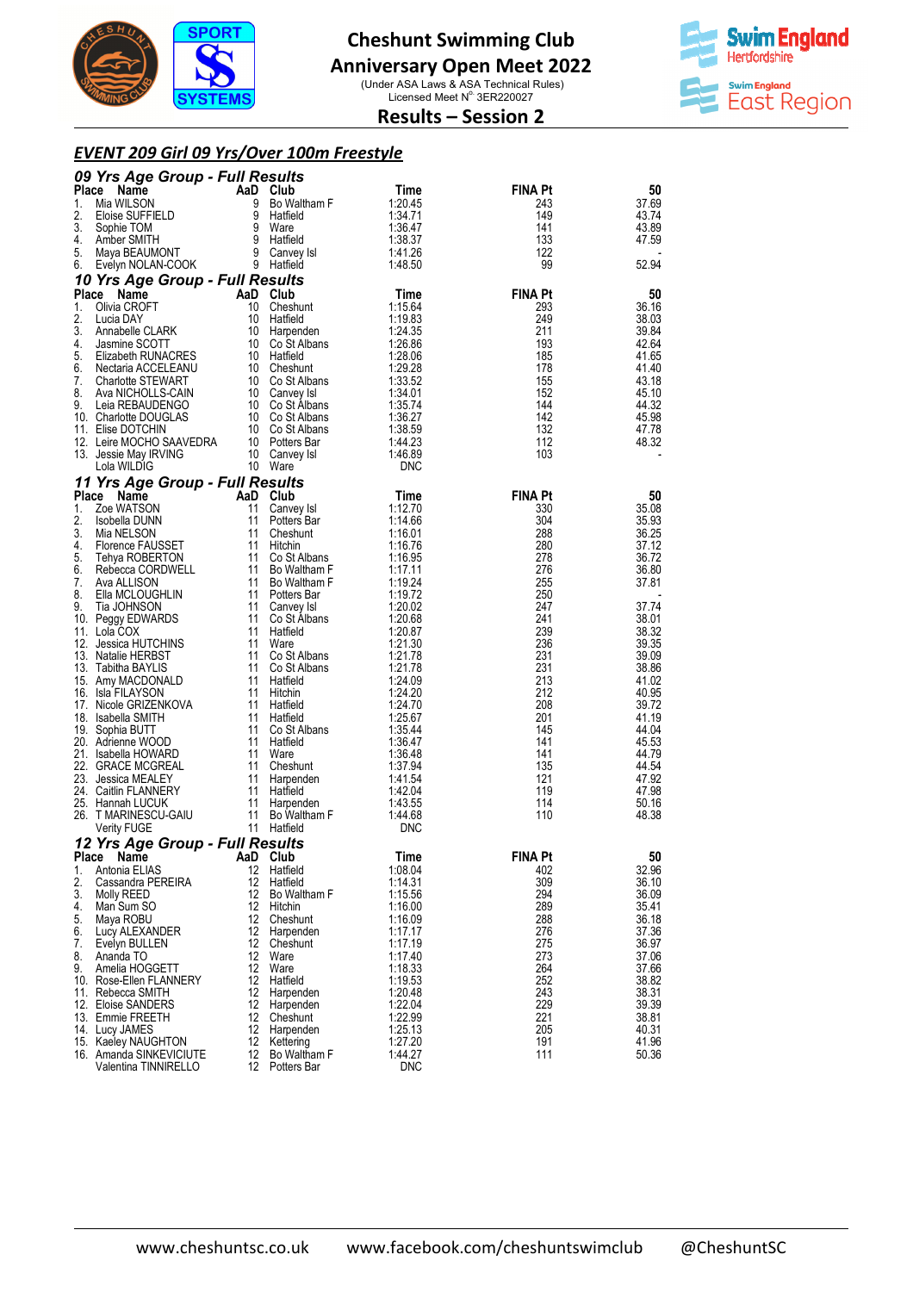

#### **Anniversary Open Meet 2022**

(Under ASA Laws & ASA Technical Rules)<br>Licensed Meet N° 3ER220027



### **Results – Session 2**

#### *EVENT 209 Girl 09 Yrs/Over 100m Freestyle*

|             | 09 Yrs Age Group - Full Results                |          |                                    |                    |                       |                |
|-------------|------------------------------------------------|----------|------------------------------------|--------------------|-----------------------|----------------|
| Place       | Name                                           |          | AaD Club                           | Time               | <b>FINA Pt</b>        | 50             |
| 1.          | Mia WILSON                                     | 9<br>9   | Bo Waltham F                       | 1:20.45            | 243<br>149            | 37.69          |
| 2.<br>3.    | Eloise SUFFIELD<br>Sophie TOM                  |          | Hatfield<br>9 Ware                 | 1:34.71<br>1:36.47 | 141                   | 43.74<br>43.89 |
| 4.          | Amber SMITH                                    |          | 9 Hatfield                         | 1:38.37            | 133                   | 47.59          |
| 5.          | Maya BEAUMONT                                  |          | 9 Canvey Isl                       | 1:41.26            | 122                   |                |
| 6.          | Evelyn NOLAN-COOK                              |          | 9 Hatfield                         | 1:48.50            | 99                    | 52.94          |
|             | 10 Yrs Age Group - Full Results                |          |                                    |                    |                       |                |
| Place<br>1. | Name<br>Olivia CROFT                           | 10       | AaD Club<br>Cheshunt               | Time<br>1:15.64    | <b>FINA Pt</b><br>293 | 50<br>36.16    |
| 2.          | Lucia DAY                                      | 10       | Hatfield                           | 1:19.83            | 249                   | 38.03          |
| 3.          | Annabelle CLARK                                | 10       | Harpenden                          | 1:24.35            | 211                   | 39.84          |
| 4.<br>5.    | Jasmine SCOTT                                  |          | 10 Co St Albans<br>10 Hatfield     | 1:26.86            | 193<br>185            | 42.64<br>41.65 |
| 6.          | Elizabeth RUNACRES<br>Nectaria ACCELEANU       |          | 10 Cheshunt                        | 1:28.06<br>1:29.28 | 178                   | 41.40          |
| 7.          | <b>Charlotte STEWART</b>                       |          | 10 Co St Albans                    | 1:33.52            | 155                   | 43.18          |
| 8.          | Ava NICHOLLS-CAIN                              |          | 10 Canvey Isl                      | 1:34.01            | 152                   | 45.10          |
| 9.          | Leia REBAUDENGO<br>10. Charlotte DOUGLAS       |          | 10 Co St Albans<br>10 Co St Albans | 1:35.74<br>1:36.27 | 144<br>142            | 44.32<br>45.98 |
|             | 11. Elise DOTCHIN                              |          | 10 Co St Albans                    | 1:38.59            | 132                   | 47.78          |
|             | 12. Leire MOCHO SAAVEDRA                       |          | 10 Potters Bar                     | 1:44.23            | 112                   | 48.32          |
|             | 13. Jessie May IRVING                          |          | 10 Canvey Isl                      | 1:46.89            | 103                   |                |
|             | Lola WILDIG                                    | 10       | Ware                               | <b>DNC</b>         |                       |                |
|             | 11 Yrs Age Group - Full Results<br>Name        |          |                                    |                    |                       |                |
| Place<br>1. | Zoe WATSON                                     | 11       | AaD Club<br>Canvey Isl             | Time<br>1:12.70    | <b>FINA Pt</b><br>330 | 50<br>35.08    |
| 2.          | Isobella DUNN                                  | 11       | Potters Bar                        | 1:14.66            | 304                   | 35.93          |
| 3.          | Mia NELSON                                     | 11       | Cheshunt                           | 1:16.01            | 288                   | 36.25          |
| 4.          | Florence FAUSSET                               | 11       | Hitchin                            | 1:16.76            | 280                   | 37.12          |
| 5.<br>6.    | Tehya ROBERTON<br>Rebecca CORDWELL             | 11<br>11 | Co St Albans<br>Bo Waltham F       | 1:16.95<br>1:17.11 | 278<br>276            | 36.72<br>36.80 |
| 7.          | Ava ALLISON                                    |          | 11 Bo Waltham F                    | 1:19.24            | 255                   | 37.81          |
| 8.          | Ella MCLOUGHLIN                                |          | 11 Potters Bar                     | 1:19.72            | 250                   |                |
| 9.          | Tia JOHNSON                                    | 11       | Canvey Isl                         | 1:20.02            | 247                   | 37.74          |
|             | 10. Peggy EDWARDS<br>11. Lola COX              | 11<br>11 | Co St Albans<br>Hatfield           | 1:20.68<br>1:20.87 | 241<br>239            | 38.01<br>38.32 |
|             | 12. Jessica HUTCHINS                           | 11       | Ware                               | 1:21.30            | 236                   | 39.35          |
|             | 13. Natalie HERBST                             |          | 11 Co St Albans                    | 1:21.78            | 231                   | 39.09          |
|             | 13. Tabitha BAYLIS                             | 11       | Co St Albans                       | 1:21.78            | 231<br>213            | 38.86          |
|             | 15. Amy MACDONALD<br>16. Isla FILAYSON         | 11<br>11 | Hatfield<br>Hitchin                | 1:24.09<br>1:24.20 | 212                   | 41.02<br>40.95 |
|             | 17. Nicole GRIZENKOVA                          | 11       | Hatfield                           | 1:24.70            | 208                   | 39.72          |
|             | 18. Isabella SMITH                             | 11       | Hatfield                           | 1:25.67            | 201                   | 41.19          |
|             | 19. Sophia BUTT<br>20. Adrienne WOOD           | 11       | 11 Co St Albans<br>Hatfield        | 1:35.44<br>1:36.47 | 145<br>141            | 44.04<br>45.53 |
|             | 21. Isabella HOWARD                            | 11       | Ware                               | 1:36.48            | 141                   | 44.79          |
|             | 22. GRACE MCGREAL                              | 11       | Cheshunt                           | 1:37.94            | 135                   | 44.54          |
|             | 23. Jessica MEALEY                             | 11       | Harpenden                          | 1:41.54            | 121                   | 47.92          |
|             | 24. Caitlin FLANNERY<br>25. Hannah LUCUK       |          | 11 Hatfield<br>11 Harpenden        | 1:42.04<br>1:43.55 | 119<br>114            | 47.98<br>50.16 |
|             | 26. T MARINESCU-GAIU                           | 11       | Bo Waltham F                       | 1:44.68            | 110                   | 48.38          |
|             | Verity FUGE                                    |          | 11 Hatfield                        | DNC                |                       |                |
|             | 12 Yrs Age Group - Full Results                |          |                                    |                    |                       |                |
| Place       | Name                                           | AaD      | Club                               | <b>Time</b>        | <b>FINA Pt</b>        | 50             |
| 1.<br>2.    | Antonia ELIAS<br>Cassandra PEREIRA             | 12<br>12 | Hatfield<br>Hatfield               | 1:08.04<br>1:14.31 | 402<br>309            | 32.96<br>36.10 |
| 3.          | Molly REED                                     | 12       | Bo Waltham F                       | 1:15.56            | 294                   | 36.09          |
| 4.          | Man Sum SO                                     | 12       | Hitchin                            | 1:16.00            | 289                   | 35.41          |
| 5.          | Maya ROBU                                      | 12       | Cheshunt                           | 1:16.09            | 288                   | 36.18          |
| 6.<br>7.    | Lucy ALEXANDER<br>Evelyn BULLEN                | 12<br>12 | Harpenden<br>Cheshunt              | 1:17.17<br>1:17.19 | 276<br>275            | 37.36<br>36.97 |
| 8.          | Ananda TO                                      | 12       | Ware                               | 1:17.40            | 273                   | 37.06          |
| 9.          | Amelia HOGGETT                                 | 12       | Ware                               | 1:18.33            | 264                   | 37.66          |
|             | 10. Rose-Ellen FLANNERY<br>11. Rebecca SMITH   | 12<br>12 | Hatfield<br>Harpenden              | 1:19.53<br>1:20.48 | 252<br>243            | 38.82<br>38.31 |
|             | 12. Eloise SANDERS                             | 12       | Harpenden                          | 1:22.04            | 229                   | 39.39          |
|             | 13. Emmie FREETH                               | 12       | Cheshunt                           | 1:22.99            | 221                   | 38.81          |
|             | 14. Lucy JAMES                                 | 12       | Harpenden                          | 1:25.13            | 205                   | 40.31          |
|             | 15. Kaeley NAUGHTON<br>16. Amanda SINKEVICIUTE | 12<br>12 | Kettering<br>Bo Waltham F          | 1:27.20<br>1:44.27 | 191<br>111            | 41.96<br>50.36 |
|             | Valentina TINNIRELLO                           | 12       | Potters Bar                        | DNC                |                       |                |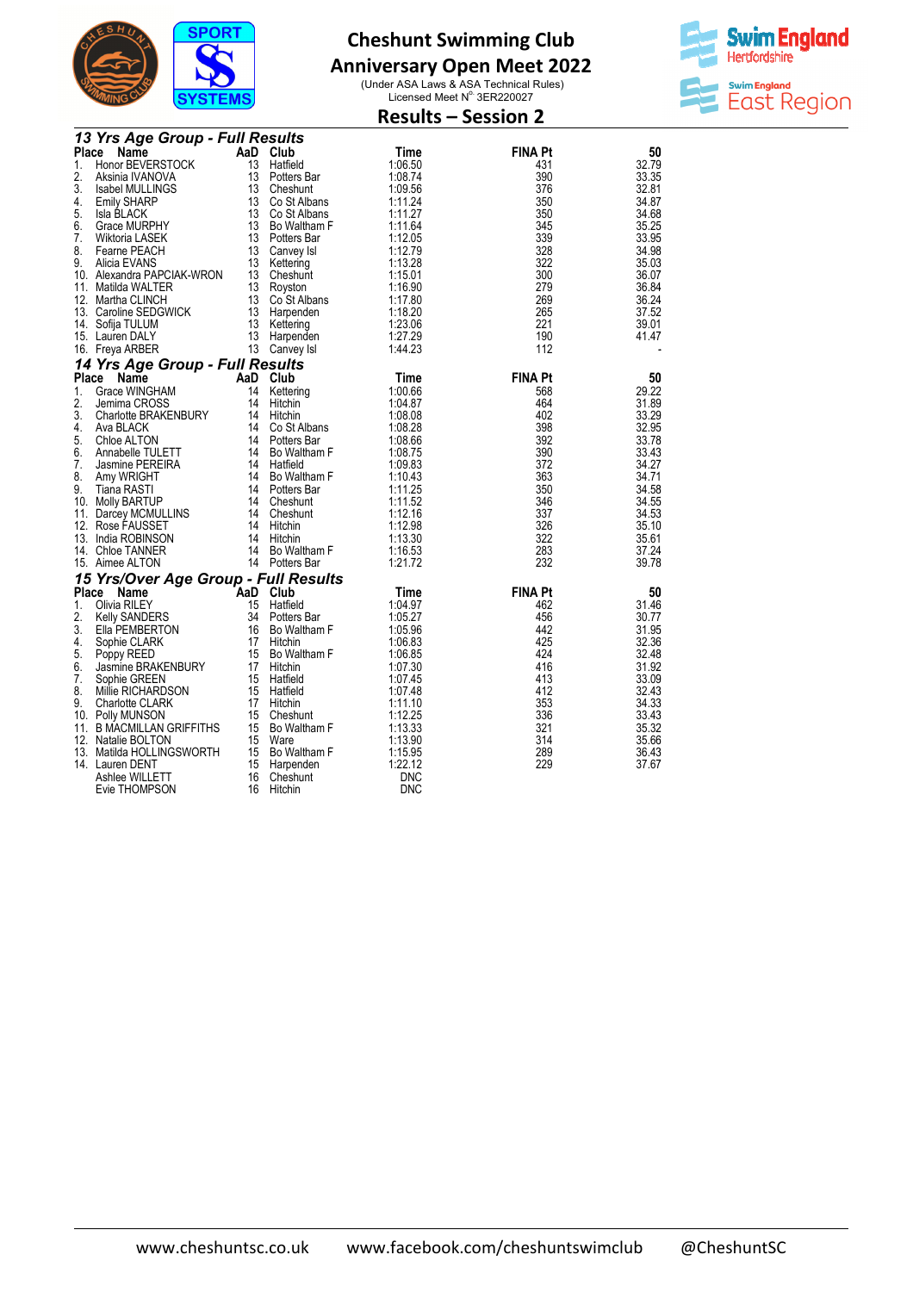

## **Anniversary Open Meet 2022**



|    |                                                    | <b>Results - Session 2</b> |                            |            |                |       |
|----|----------------------------------------------------|----------------------------|----------------------------|------------|----------------|-------|
|    | 13 Yrs Age Group - Full Results                    |                            |                            |            |                |       |
|    | Place<br>Name                                      |                            | AaD Club                   | Time       | <b>FINA Pt</b> | 50    |
| 1. | Honor BEVERSTOCK                                   |                            | 13 Hatfield                | 1:06.50    | 431            | 32.79 |
| 2. | Aksinia IVANOVA                                    |                            | 13 Potters Bar             | 1:08.74    | 390            | 33.35 |
| 3. | Isabel MULLINGS                                    |                            | 13 Cheshunt                | 1:09.56    | 376            | 32.81 |
| 4. | <b>Emily SHARP</b>                                 |                            | 13 Co St Albans            | 1:11.24    | 350            | 34.87 |
| 5. | Isla BLACK                                         |                            | 13 Co St Albans            | 1:11.27    | 350            | 34.68 |
| 6. | Grace MURPHY                                       |                            | 13 Bo Waltham F            | 1:11.64    | 345            | 35.25 |
| 7. | Wiktoria LASEK                                     |                            | 13 Potters Bar             | 1:12.05    | 339            | 33.95 |
| 8. | Fearne PEACH                                       |                            | 13 Canvey Isl              | 1:12.79    | 328            | 34.98 |
| 9. | Alicia EVANS                                       |                            | 13 Kettering               | 1:13.28    | 322            | 35.03 |
|    | 10. Alexandra PAPCIAK-WRON                         |                            | 13 Cheshunt                | 1:15.01    | 300            | 36.07 |
|    | 11. Matilda WALTER                                 |                            | 13 Royston                 | 1:16.90    | 279            | 36.84 |
|    | 12. Martha CLINCH                                  |                            | 13 Co <sup>St</sup> Albans | 1:17.80    | 269            | 36.24 |
|    | 13. Caroline SEDGWICK                              |                            | 13 Harpenden               | 1:18.20    | 265            | 37.52 |
|    | 14. Sofija TULUM                                   |                            | 13 Kettering               | 1:23.06    | 221            | 39.01 |
|    | 15. Lauren DALY                                    |                            | 13 Harpenden               | 1:27.29    | 190            | 41.47 |
|    | 16. Freya ARBER                                    |                            | 13 Canvey Isl              | 1:44.23    | 112            |       |
|    | 14 Yrs Age Group - Full Results                    |                            |                            |            |                |       |
|    | Place<br>Name                                      | AaD Club                   |                            | Time       | <b>FINA Pt</b> | 50    |
| 1. | Grace WINGHAM                                      | 14                         | Kettering                  | 1:00.66    | 568            | 29.22 |
| 2. | Jemima CROSS                                       | 14                         | Hitchin                    | 1:04.87    | 464            | 31.89 |
| 3. | Charlotte BRAKENBURY                               |                            | 14 Hitchin                 | 1:08.08    | 402            | 33.29 |
| 4. | Ava BLACK                                          |                            | 14 Co St Albans            | 1:08.28    | 398            | 32.95 |
| 5. | Chloe ALTON                                        |                            | 14 Potters Bar             | 1:08.66    | 392            | 33.78 |
| 6. | Annabelle TULETT                                   |                            | 14 Bo Waltham F            | 1:08.75    | 390            | 33.43 |
| 7. | Jasmine PEREIRA                                    |                            | 14 Hatfield                | 1:09.83    | 372            | 34.27 |
| 8. | Amy WRIGHT                                         |                            | 14 Bo Waltham F            | 1:10.43    | 363            | 34.71 |
| 9. | Tiana RASTI                                        |                            | 14 Potters Bar             | 1:11.25    | 350            | 34.58 |
|    | 10. Molly BARTUP                                   |                            | 14 Cheshunt                | 1:11.52    | 346            | 34.55 |
|    | 11. Darcey MCMULLINS                               |                            | 14 Cheshunt                | 1:12.16    | 337            | 34.53 |
|    | 12. Rose FAUSSET                                   |                            | 14 Hitchin                 | 1:12.98    | 326            | 35.10 |
|    | 13. India ROBINSON                                 |                            | 14 Hitchin                 | 1:13.30    | 322            | 35.61 |
|    | 14. Chloe TANNER                                   |                            | 14 Bo Waltham F            | 1:16.53    | 283            | 37.24 |
|    | 15. Aimee ALTON                                    |                            | 14 Potters Bar             | 1:21.72    | 232            | 39.78 |
|    |                                                    |                            |                            |            |                |       |
|    | 15 Yrs/Over Age Group - Full Results<br>Place Name | AaD Club                   |                            |            | <b>FINA Pt</b> |       |
|    |                                                    | 15                         |                            | Time       |                | 50    |
| 1. | Olivia RILEY                                       |                            | Hatfield                   | 1:04.97    | 462            | 31.46 |
| 2. | Kelly SANDERS                                      |                            | 34 Potters Bar             | 1:05.27    | 456<br>442     | 30.77 |
| 3. | Ella PEMBERTON                                     |                            | 16 Bo Waltham F            | 1:05.96    |                | 31.95 |
| 4. | Sophie CLARK                                       |                            | 17 Hitchin                 | 1:06.83    | 425            | 32.36 |
| 5. | Poppy REED                                         |                            | 15 Bo Waltham F            | 1:06.85    | 424            | 32.48 |
| 6. | Jasmine BRAKENBURY                                 |                            | 17 Hitchin                 | 1:07.30    | 416            | 31.92 |
| 7. | Sophie GREEN                                       |                            | 15 Hatfield                | 1:07.45    | 413            | 33.09 |
| 8. | Millie RICHARDSON                                  |                            | 15 Hatfield                | 1:07.48    | 412            | 32.43 |
| 9. | Charlotte CLARK                                    |                            | 17 Hitchin                 | 1:11.10    | 353            | 34.33 |
|    | 10. Polly MUNSON                                   |                            | 15 Cheshunt                | 1:12.25    | 336            | 33.43 |
|    | 11. B MACMILLAN GRIFFITHS                          |                            | 15 Bo Waltham F            | 1:13.33    | 321            | 35.32 |
|    | 12. Natalie BOLTON                                 |                            | 15 Ware                    | 1:13.90    | 314            | 35.66 |
|    | 13. Matilda HOLLINGSWORTH                          |                            | 15 Bo Waltham F            | 1:15.95    | 289            | 36.43 |
|    | 14. Lauren DENT                                    |                            | 15 Harpenden               | 1:22.12    | 229            | 37.67 |
|    | Ashlee WILLETT                                     |                            | 16 Cheshunt                | <b>DNC</b> |                |       |
|    | Evie THOMPSON                                      |                            | 16 Hitchin                 | <b>DNC</b> |                |       |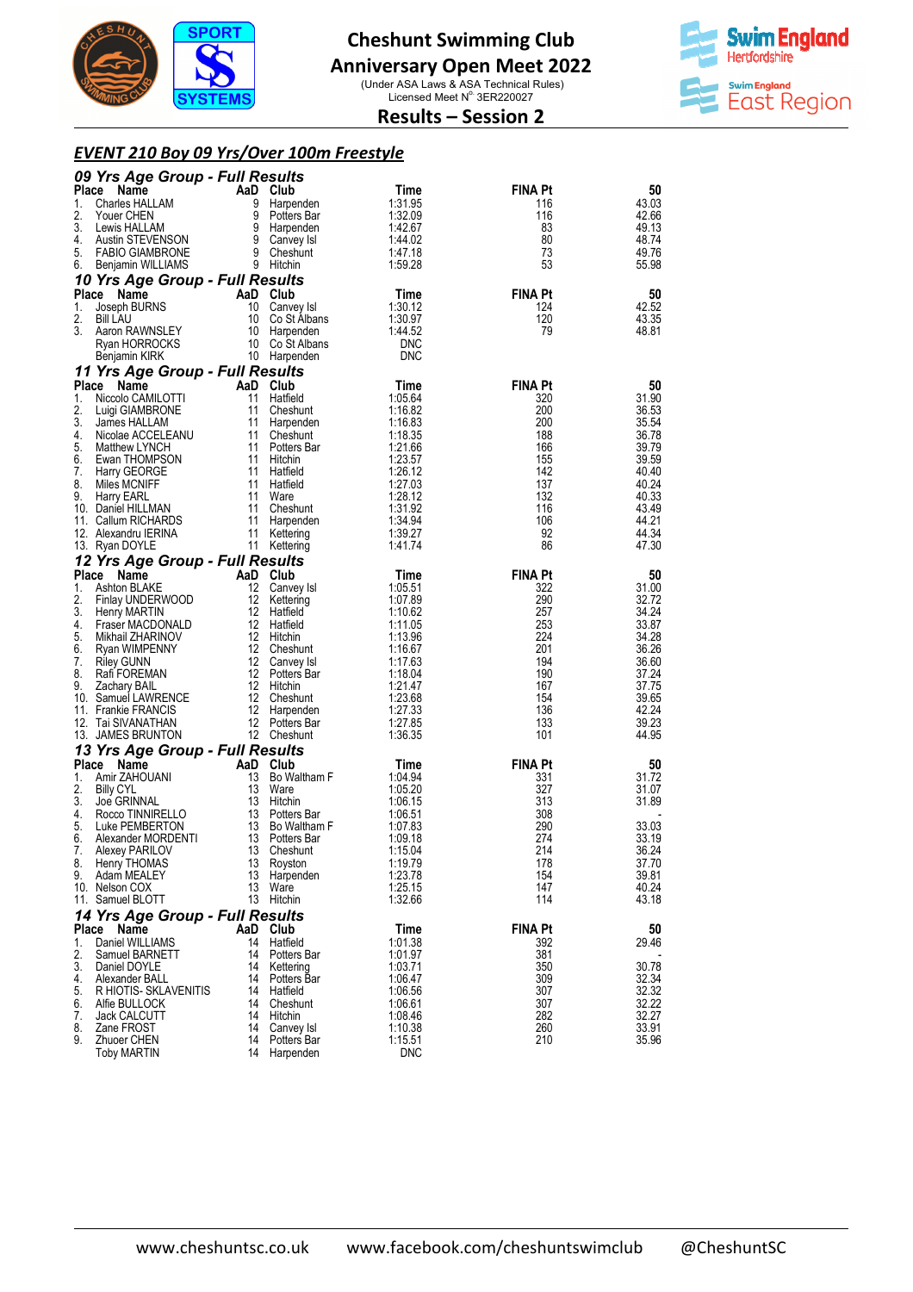

#### **Anniversary Open Meet 2022**

(Under ASA Laws & ASA Technical Rules)<br>Licensed Meet N° 3ER220027



#### **Results – Session 2**

#### *EVENT 210 Boy 09 Yrs/Over 100m Freestyle*

|          | 09 Yrs Age Group - Full Results             |          |                               |                       |                |                |
|----------|---------------------------------------------|----------|-------------------------------|-----------------------|----------------|----------------|
| Place    | Name                                        |          | AaD Club                      | Time                  | FINA Pt        | 50             |
| 1.       | Charles HALLAM                              | 9        | Harpenden                     | 1:31.95               | 116            | 43.03          |
| 2.       | Youer CHEN                                  | 9        | Potters Bar                   | 1:32.09               | 116            | 42.66          |
| 3.<br>4. | Lewis HALLAM<br>Austin STEVENSON            |          | 9 Harpenden<br>9 Canvey Isl   | 1:42.67<br>1:44.02    | 83<br>80       | 49.13<br>48.74 |
| 5.       | <b>FABIO GIAMBRONE</b>                      |          | 9 Cheshunt                    | 1:47.18               | 73             | 49.76          |
| 6.       | Benjamin WILLIAMS                           |          | 9 Hitchin                     | 1:59.28               | 53             | 55.98          |
|          | 10 Yrs Age Group - Full Results             |          |                               |                       |                |                |
|          | Place<br>Name                               |          | AaD Club                      | Time                  | <b>FINA Pt</b> | 50             |
| 1.       | Joseph BURNS                                |          | 10 Canvey Isl                 | 1:30.12               | 124            | 42.52          |
| 2.       | <b>Bill LAU</b>                             |          | 10 Co St Albans               | 1:30.97               | 120            | 43.35          |
| 3.       | Aaron RAWNSLEY<br>Ryan HORROCKS             | 10       | Harpenden<br>10 Co St Albans  | 1:44.52<br><b>DNC</b> | 79             | 48.81          |
|          | Benjamin KIRK                               |          | 10 Harpenden                  | <b>DNC</b>            |                |                |
|          | 11 Yrs Age Group - Full Results             |          |                               |                       |                |                |
| Place    | Name                                        |          | AaD Club                      | Time                  | <b>FINA Pt</b> | 50             |
| 1.       | Niccolo CAMILOTTI                           |          | 11 Hatfield                   | 1:05.64               | 320            | 31.90          |
| 2.       | Luigi GIAMBRONE                             | 11       | Cheshunt                      | 1:16.82               | 200            | 36.53          |
| 3.       | James HALLAM                                | 11       | Harpenden                     | 1:16.83               | 200            | 35.54          |
| 4.<br>5. | Nicolae ACCELEANU                           |          | 11 Cheshunt<br>11 Potters Bar | 1:18.35               | 188<br>166     | 36.78          |
| 6.       | Matthew LYNCH<br>Ewan THOMPSON              | 11       | Hitchin                       | 1:21.66<br>1:23.57    | 155            | 39.79<br>39.59 |
| 7.       | Harry GEORGE                                |          | 11 Hatfield                   | 1:26.12               | 142            | 40.40          |
| 8.       | Miles MCNIFF                                |          | 11 Hatfield                   | 1:27.03               | 137            | 40.24          |
| 9.       | Harry EARL                                  | 11       | Ware                          | 1:28.12               | 132            | 40.33          |
|          | 10. Daniel HILLMAN                          | 11       | Cheshunt                      | 1:31.92               | 116            | 43.49          |
|          | 11. Callum RICHARDS<br>12. Alexandru IERINA | 11       | 11 Harpenden<br>Kettering     | 1:34.94<br>1:39.27    | 106<br>92      | 44.21<br>44.34 |
|          | 13. Ryan DOYLE                              |          | 11 Kettering                  | 1:41.74               | 86             | 47.30          |
|          | 12 Yrs Age Group - Full Results             |          |                               |                       |                |                |
| Place    | Name                                        |          | AaD Club                      | Time                  | <b>FINA Pt</b> | 50             |
| 1.       | Ashton BLAKE                                | 12       | Canvey Isl                    | 1:05.51               | 322            | 31.00          |
| 2.       | Finlay UNDERWOOD                            |          | 12 Kettering                  | 1:07.89               | 290            | 32.72          |
| 3.       | Henry MARTIN                                |          | 12 Hatfield                   | 1:10.62               | 257            | 34.24          |
| 4.<br>5. | Fraser MACDONALD<br>Mikhail ZHARINOV        |          | 12 Hatfield<br>12 Hitchin     | 1:11.05<br>1:13.96    | 253<br>224     | 33.87<br>34.28 |
| 6.       | Ryan WIMPENNY                               |          | 12 Cheshunt                   | 1:16.67               | 201            | 36.26          |
| 7.       | <b>Riley GUNN</b>                           |          | 12 Canvey Isl                 | 1:17.63               | 194            | 36.60          |
| 8.       | Rafi FOREMAN                                |          | 12 Potters Bar                | 1:18.04               | 190            | 37.24          |
| 9.       | Zachary BAIL                                |          | 12 Hitchin                    | 1:21.47               | 167            | 37.75          |
|          | 10. Samuel LAWRENCE<br>11. Frankie FRANCIS  |          | 12 Cheshunt<br>12 Harpenden   | 1:23.68<br>1:27.33    | 154<br>136     | 39.65<br>42.24 |
|          | 12. Tai SIVANATHAN                          |          | 12 Potters Bar                | 1:27.85               | 133            | 39.23          |
|          | 13. JAMES BRUNTON                           |          | 12 Cheshunt                   | 1:36.35               | 101            | 44.95          |
|          | 13 Yrs Age Group - Full Results             |          |                               |                       |                |                |
| Place    | Name                                        |          | AaD Club                      | Time                  | <b>FINA Pt</b> | 50             |
| 1.       | Amir ZAHOUANI                               |          | 13 Bo Waltham F               | 1:04.94               | 331            | 31.72          |
| 2.       | <b>Billy CYL</b>                            |          | 13 Ware                       | 1:05.20               | 327            | 31.07          |
| 3.<br>4. | Joe GRINNAL<br>Rocco TINNIRELLO             |          | 13 Hitchin<br>13 Potters Bar  | 1:06.15<br>1:06.51    | 313<br>308     | 31.89          |
| 5.       | Luke PEMBERTON                              |          | 13 Bo Waltham F               | 1:07.83               | 290            | 33.03          |
| 6.       | Alexander MORDENTI                          |          | 13 Potters Bar                | 1:09.18               | 274            | 33.19          |
| 7.       | Alexey PARILOV                              |          | 13 Cheshunt                   | 1:15.04               | 214            | 36.24          |
| 8.       | Henry THOMAS                                | 13       | Royston                       | 1:19.79               | 178            | 37.70          |
| 9.       | Adam MEALEY<br>10. Nelson COX               | 13<br>13 | Harpenden<br>Ware             | 1:23.78<br>1:25.15    | 154<br>147     | 39.81<br>40.24 |
|          | 11. Samuel BLOTT                            | 13       | Hitchin                       | 1:32.66               | 114            | 43.18          |
|          | 14 Yrs Age Group - Full Results             |          |                               |                       |                |                |
| Place    | Name                                        |          | AaD Club                      | Time                  | FINA Pt        | 50             |
| 1.       | Daniel WILLIAMS                             | 14       | Hatfield                      | 1:01.38               | 392            | 29.46          |
| 2.       | Samuel BARNETT                              | 14       | Potters Bar                   | 1:01.97               | 381            |                |
| 3.       | Daniel DOYLE                                | 14       | Kettering                     | 1:03.71               | 350            | 30.78          |
| 4.       | Alexander BALL                              | 14<br>14 | Potters Bar                   | 1:06.47               | 309            | 32.34          |
| 5.<br>6. | R HIOTIS- SKLAVENITIS<br>Alfie BULLOCK      | 14       | Hatfield<br>Cheshunt          | 1:06.56<br>1:06.61    | 307<br>307     | 32.32<br>32.22 |
| 7.       | <b>Jack CALCUTT</b>                         | 14       | Hitchin                       | 1:08.46               | 282            | 32.27          |
| 8.       | Zane FROST                                  | 14       | Canvey Isl                    | 1:10.38               | 260            | 33.91          |
| 9.       | Zhuoer CHEN                                 | 14       | Potters Bar                   | 1:15.51               | 210            | 35.96          |
|          | Toby MARTIN                                 | 14       | Harpenden                     | <b>DNC</b>            |                |                |